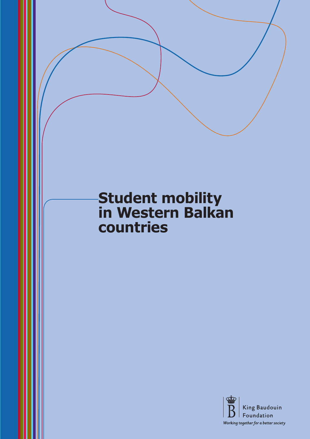# **Student mobility in Western Balkan countries**

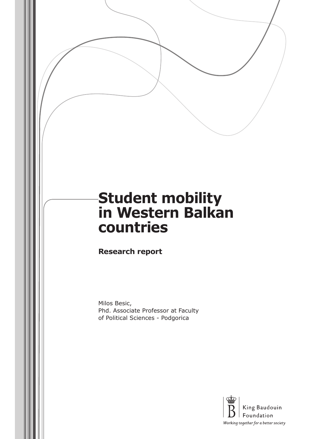# **Student mobility in Western Balkan countries**

**Research report**

Milos Besic, Phd. Associate Professor at Faculty of Political Sciences - Podgorica

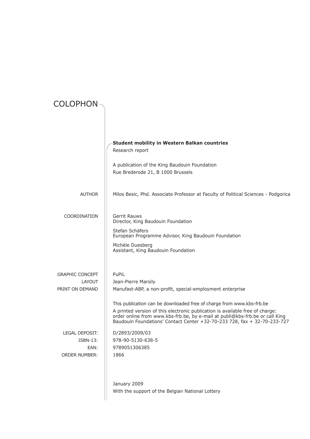| <b>COLOPHON</b>                                                          |                                                                                                                                                                                                                                                                                                                    |
|--------------------------------------------------------------------------|--------------------------------------------------------------------------------------------------------------------------------------------------------------------------------------------------------------------------------------------------------------------------------------------------------------------|
|                                                                          |                                                                                                                                                                                                                                                                                                                    |
|                                                                          | <b>Student mobility in Western Balkan countries</b><br>Research report                                                                                                                                                                                                                                             |
|                                                                          | A publication of the King Baudouin Foundation<br>Rue Brederode 21, B 1000 Brussels                                                                                                                                                                                                                                 |
| <b>AUTHOR</b>                                                            | Milos Besic, Phd. Associate Professor at Faculty of Political Sciences - Podgorica                                                                                                                                                                                                                                 |
| COORDINATION                                                             | Gerrit Rauws<br>Director, King Baudouin Foundation                                                                                                                                                                                                                                                                 |
|                                                                          | Stefan Schäfers<br>European Programme Advisor, King Baudouin Foundation                                                                                                                                                                                                                                            |
|                                                                          | Michèle Duesberg<br>Assistant, King Baudouin Foundation                                                                                                                                                                                                                                                            |
| <b>GRAPHIC CONCEPT</b>                                                   | PuPiL                                                                                                                                                                                                                                                                                                              |
| LAYOUT<br>PRINT ON DEMAND                                                | Jean-Pierre Marsily<br>Manufast-ABP, a non-profit, special-employment enterprise                                                                                                                                                                                                                                   |
|                                                                          | This publication can be downloaded free of charge from www.kbs-frb.be<br>A printed version of this electronic publication is available free of charge:<br>order online from www.kbs-frb.be, by e-mail at publi@kbs-frb.be or call King<br>Baudouin Foundations' Contact Center +32-70-233 728, fax + 32-70-233-727 |
| <b>LEGAL DEPOSIT:</b><br><b>ISBN-13:</b><br>EAN:<br><b>ORDER NUMBER:</b> | D/2893/2009/03<br>978-90-5130-638-5<br>9789051306385<br>1866                                                                                                                                                                                                                                                       |
|                                                                          | January 2009<br>With the support of the Belgian National Lottery                                                                                                                                                                                                                                                   |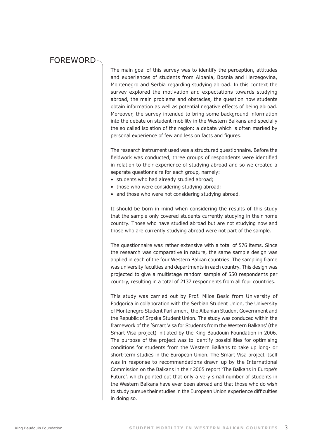### **FOREWORD**

The main goal of this survey was to identify the perception, attitudes and experiences of students from Albania, Bosnia and Herzegovina, Montenegro and Serbia regarding studying abroad. In this context the survey explored the motivation and expectations towards studying abroad, the main problems and obstacles, the question how students obtain information as well as potential negative effects of being abroad. Moreover, the survey intended to bring some background information into the debate on student mobility in the Western Balkans and specially the so called isolation of the region: a debate which is often marked by personal experience of few and less on facts and figures.

The research instrument used was a structured questionnaire. Before the fieldwork was conducted, three groups of respondents were identified in relation to their experience of studying abroad and so we created a separate questionnaire for each group, namely:

- students who had already studied abroad;
- those who were considering studying abroad;
- and those who were not considering studying abroad.

It should be born in mind when considering the results of this study that the sample only covered students currently studying in their home country. Those who have studied abroad but are not studying now and those who are currently studying abroad were not part of the sample.

The questionnaire was rather extensive with a total of 576 items. Since the research was comparative in nature, the same sample design was applied in each of the four Western Balkan countries. The sampling frame was university faculties and departments in each country. This design was projected to give a multistage random sample of 550 respondents per country, resulting in a total of 2137 respondents from all four countries.

This study was carried out by Prof. Milos Besic from University of Podgorica in collaboration with the Serbian Student Union, the University of Montenegro Student Parliament, the Albanian Student Government and the Republic of Srpska Student Union. The study was conduced within the framework of the 'Smart Visa for Students from the Western Balkans' (the Smart Visa project) initiated by the King Baudouin Foundation in 2006. The purpose of the project was to identify possibilities for optimising conditions for students from the Western Balkans to take up long- or short-term studies in the European Union. The Smart Visa project itself was in response to recommendations drawn up by the International Commission on the Balkans in their 2005 report 'The Balkans in Europe's Future', which pointed out that only a very small number of students in the Western Balkans have ever been abroad and that those who do wish to study pursue their studies in the European Union experience difficulties in doing so.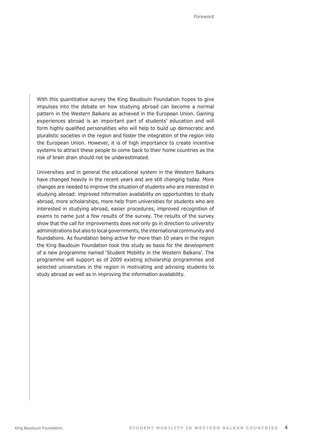With this quantitative survey the King Baudouin Foundation hopes to give impulses into the debate on how studying abroad can become a normal pattern in the Western Balkans as achieved in the European Union. Gaining experiences abroad is an important part of students' education and will form highly qualified personalities who will help to build up democratic and pluralistic societies in the region and foster the integration of the region into the European Union. However, it is of high importance to create incentive systems to attract these people to come back to their home countries as the risk of brain drain should not be underestimated.

Universities and in general the educational system in the Western Balkans have changed heavily in the recent years and are still changing today. More changes are needed to improve the situation of students who are interested in studying abroad: improved information availability on opportunities to study abroad, more scholarships, more help from universities for students who are interested in studying abroad, easier procedures, improved recognition of exams to name just a few results of the survey. The results of the survey show that the call for improvements does not only go in direction to university administrations but also to local governments, the international community and foundations. As foundation being active for more than 10 years in the region the King Baudouin Foundation took this study as basis for the development of a new programme named 'Student Mobility in the Western Balkans'. The programme will support as of 2009 existing scholarship programmes and selected universities in the region in motivating and advising students to study abroad as well as in improving the information availability.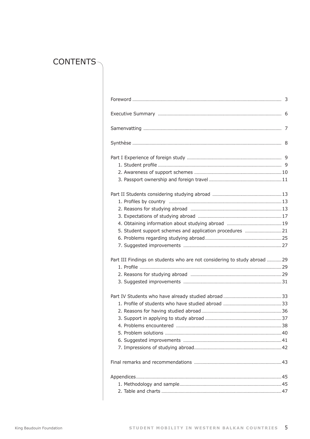# CONTENTS-

| 5. Student support schemes and application procedures 21                  |  |
|---------------------------------------------------------------------------|--|
|                                                                           |  |
|                                                                           |  |
| Part III Findings on students who are not considering to study abroad  29 |  |
|                                                                           |  |
|                                                                           |  |
|                                                                           |  |
|                                                                           |  |
|                                                                           |  |
|                                                                           |  |
|                                                                           |  |
|                                                                           |  |
|                                                                           |  |
|                                                                           |  |
|                                                                           |  |
|                                                                           |  |
|                                                                           |  |
|                                                                           |  |
|                                                                           |  |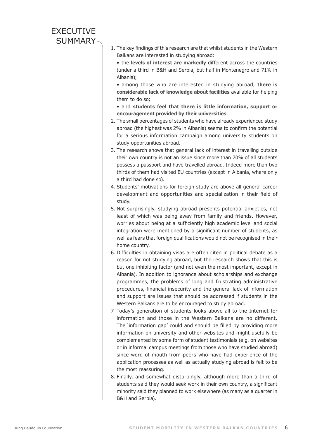### **EXECUTIVE** SUMMARY-

1. The key findings of this research are that whilst students in the Western Balkans are interested in studying abroad:

• the **levels of interest are markedly** different across the countries (under a third in B&H and Serbia, but half in Montenegro and 71% in Albania);

• among those who are interested in studying abroad, **there is considerable lack of knowledge about facilities** available for helping them to do so;

• and **students feel that there is little information, support or encouragement provided by their universities**.

- 2. The small percentages of students who have already experienced study abroad (the highest was 2% in Albania) seems to confirm the potential for a serious information campaign among university students on study opportunities abroad.
- 3. The research shows that general lack of interest in travelling outside their own country is not an issue since more than 70% of all students possess a passport and have travelled abroad. Indeed more than two thirds of them had visited EU countries (except in Albania, where only a third had done so).
- 4. Students' motivations for foreign study are above all general career development and opportunities and specialization in their field of study.
- 5. Not surprisingly, studying abroad presents potential anxieties, not least of which was being away from family and friends. However, worries about being at a sufficiently high academic level and social integration were mentioned by a significant number of students, as well as fears that foreign qualifications would not be recognised in their home country.
- 6. Difficulties in obtaining visas are often cited in political debate as a reason for not studying abroad, but the research shows that this is but one inhibiting factor (and not even the most important, except in Albania). In addition to ignorance about scholarships and exchange programmes, the problems of long and frustrating administrative procedures, financial insecurity and the general lack of information and support are issues that should be addressed if students in the Western Balkans are to be encouraged to study abroad.
- 7. Today's generation of students looks above all to the Internet for information and those in the Western Balkans are no different. The 'information gap' could and should be filled by providing more information on university and other websites and might usefully be complemented by some form of student testimonials (e.g. on websites or in informal campus meetings from those who have studied abroad) since word of mouth from peers who have had experience of the application processes as well as actually studying abroad is felt to be the most reassuring.
- 8. Finally, and somewhat disturbingly, although more than a third of students said they would seek work in their own country, a significant minority said they planned to work elsewhere (as many as a quarter in B&H and Serbia).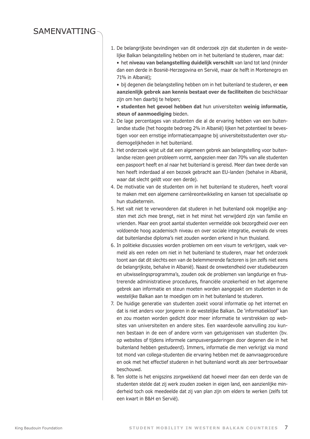## **SAMENVATTING**

- 1. De belangrijkste bevindingen van dit onderzoek zijn dat studenten in de westelijke Balkan belangstelling hebben om in het buitenland te studeren, maar dat:
	- het **niveau van belangstelling duidelijk verschilt** van land tot land (minder dan een derde in Bosnië-Herzegovina en Servië, maar de helft in Montenegro en 71% in Albanië);
	- bij degenen die belangstelling hebben om in het buitenland te studeren, er **een aanzienlijk gebrek aan kennis bestaat over de faciliteiten** die beschikbaar zijn om hen daarbij te helpen;
	- **studenten het gevoel hebben dat** hun universiteiten **weinig informatie, steun of aanmoediging** bieden.
- 2. De lage percentages van studenten die al de ervaring hebben van een buitenlandse studie (het hoogste bedroeg 2% in Albanië) lijken het potentieel te bevestigen voor een ernstige informatiecampagne bij universiteitsstudenten over studiemogelijkheden in het buitenland.
- 3. Het onderzoek wijst uit dat een algemeen gebrek aan belangstelling voor buitenlandse reizen geen probleem vormt, aangezien meer dan 70% van alle studenten een paspoort heeft en al naar het buitenland is gereisd. Meer dan twee derde van hen heeft inderdaad al een bezoek gebracht aan EU-landen (behalve in Albanië, waar dat slecht geldt voor een derde).
- 4. De motivatie van de studenten om in het buitenland te studeren, heeft vooral te maken met een algemene carrièreontwikkeling en kansen tot specialisatie op hun studieterrein.
- 5. Het valt niet te verwonderen dat studeren in het buitenland ook mogelijke angsten met zich mee brengt, niet in het minst het verwijderd zijn van familie en vrienden. Maar een groot aantal studenten vermeldde ook bezorgdheid over een voldoende hoog academisch niveau en over sociale integratie, evenals de vrees dat buitenlandse diploma's niet zouden worden erkend in hun thuisland.
- 6. In politieke discussies worden problemen om een visum te verkrijgen, vaak vermeld als een reden om niet in het buitenland te studeren, maar het onderzoek toont aan dat dit slechts een van de belemmerende factoren is (en zelfs niet eens de belangrijkste, behalve in Albanië). Naast de onwetendheid over studiebeurzen en uitwisselingsprogramma's, zouden ook de problemen van langdurige en frustrerende administratieve procedures, financiële onzekerheid en het algemene gebrek aan informatie en steun moeten worden aangepakt om studenten in de westelijke Balkan aan te moedigen om in het buitenland te studeren.
- 7. De huidige generatie van studenten zoekt vooral informatie op het internet en dat is niet anders voor jongeren in de westelijke Balkan. De 'informatiekloof' kan en zou moeten worden gedicht door meer informatie te verstrekken op websites van universiteiten en andere sites. Een waardevolle aanvulling zou kunnen bestaan in de een of andere vorm van getuigenissen van studenten (bv. op websites of tijdens informele campusvergaderingen door degenen die in het buitenland hebben gestudeerd). Immers, informatie die men verkrijgt via mond tot mond van collega-studenten die ervaring hebben met de aanvraagprocedure en ook met het effectief studeren in het buitenland wordt als zeer bertrouwbaar beschouwd.
- 8. Ten slotte is het enigszins zorgwekkend dat hoewel meer dan een derde van de studenten stelde dat zij werk zouden zoeken in eigen land, een aanzienlijke minderheid toch ook meedeelde dat zij van plan zijn om elders te werken (zelfs tot een kwart in B&H en Servië).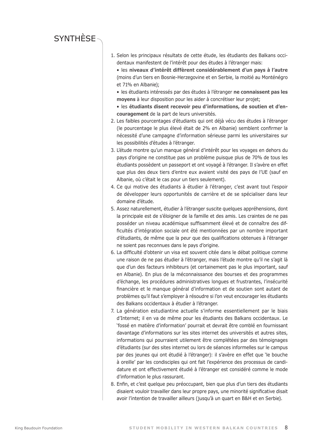# **SYNTHÈSE**

- 1. Selon les principaux résultats de cette étude, les étudiants des Balkans occidentaux manifestent de l'intérêt pour des études à l'étranger mais:
	- les **niveaux d'intérêt diffèrent considérablement d'un pays à l'autre** (moins d'un tiers en Bosnie-Herzegovine et en Serbie, la moitié au Monténégro et 71% en Albanie);
	- les étudiants intéressés par des études à l'étranger **ne connaissent pas les moyens** à leur disposition pour les aider à concrétiser leur projet;
	- les **étudiants disent recevoir peu d'informations, de soutien et d'encouragement** de la part de leurs universités.
- 2. Les faibles pourcentages d'étudiants qui ont déjà vécu des études à l'étranger (le pourcentage le plus élevé était de 2% en Albanie) semblent confirmer la nécessité d'une campagne d'information sérieuse parmi les universitaires sur les possibilités d'études à l'étranger.
- 3. L'étude montre qu'un manque général d'intérêt pour les voyages en dehors du pays d'origine ne constitue pas un problème puisque plus de 70% de tous les étudiants possèdent un passeport et ont voyagé à l'étranger. Il s'avère en effet que plus des deux tiers d'entre eux avaient visité des pays de l'UE (sauf en Albanie, où c'était le cas pour un tiers seulement).
- 4. Ce qui motive des étudiants à étudier à l'étranger, c'est avant tout l'espoir de développer leurs opportunités de carrière et de se spécialiser dans leur domaine d'étude.
- 5. Assez naturellement, étudier à l'étranger suscite quelques appréhensions, dont la principale est de s'éloigner de la famille et des amis. Les craintes de ne pas posséder un niveau académique suffisamment élevé et de connaître des difficultés d'intégration sociale ont été mentionnées par un nombre important d'étudiants, de même que la peur que des qualifications obtenues à l'étranger ne soient pas reconnues dans le pays d'origine.
- 6. La difficulté d'obtenir un visa est souvent citée dans le débat politique comme une raison de ne pas étudier à l'étranger, mais l'étude montre qu'il ne s'agit là que d'un des facteurs inhibiteurs (et certainement pas le plus important, sauf en Albanie). En plus de la méconnaissance des bourses et des programmes d'échange, les procédures administratives longues et frustrantes, l'insécurité financière et le manque général d'information et de soutien sont autant de problèmes qu'il faut s'employer à résoudre si l'on veut encourager les étudiants des Balkans occidentaux à étudier à l'étranger.
- 7. La génération estudiantine actuelle s'informe essentiellement par le biais d'Internet; il en va de même pour les étudiants des Balkans occidentaux. Le 'fossé en matière d'information' pourrait et devrait être comblé en fournissant davantage d'informations sur les sites internet des universités et autres sites, informations qui pourraient utilement être complétées par des témoignages d'étudiants (sur des sites internet ou lors de séances informelles sur le campus par des jeunes qui ont étudié à l'étranger): il s'avère en effet que 'le bouche à oreille' par les condisciples qui ont fait l'expérience des processus de candidature et ont effectivement étudié à l'étranger est considéré comme le mode d'information le plus rassurant.
- 8. Enfin, et c'est quelque peu préoccupant, bien que plus d'un tiers des étudiants disaient vouloir travailler dans leur propre pays, une minorité significative disait avoir l'intention de travailler ailleurs (jusqu'à un quart en B&H et en Serbie).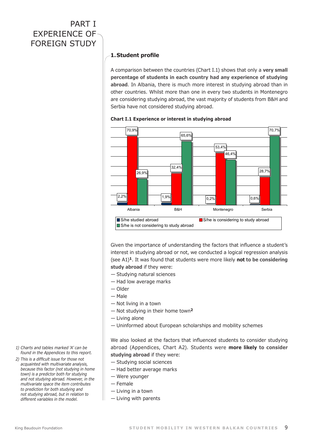# PART I Experience of foreign study

### **1. Student profile**

A comparison between the countries (Chart I.1) shows that only a **very small percentage of students in each country had any experience of studying abroad**. In Albania, there is much more interest in studying abroad than in other countries. Whilst more than one in every two students in Montenegro are considering studying abroad, the vast majority of students from B&H and Serbia have not considered studying abroad.



#### **Chart I.1 Experience or interest in studying abroad**

Given the importance of understanding the factors that influence a student's interest in studying abroad or not, we conducted a logical regression analysis (see A1)**1**. It was found that students were more likely **not to be considering study abroad** if they were:

- Studying natural sciences
- Had low average marks
- Older
- Male
- Not living in a town
- Not studying in their home town**<sup>2</sup>**
- Living alone
- Uninformed about European scholarships and mobility schemes

We also looked at the factors that influenced students to consider studying abroad (Appendices, Chart A2). Students were **more likely to consider studying abroad** if they were:

- Studying social sciences
- Had better average marks
- Were younger
- Female
- Living in a town
- Living with parents
- *1) Charts and tables marked 'A' can be found in the Appendices to this report.*
- *2) This is a difficult issue for those not acquainted with multivariate analysis, because this factor (not studying in home town) is a predictor both for studying and not studying abroad. However, in the multivariate space the item contributes to prediction for both studying and not studying abroad, but in relation to different variables in the model.*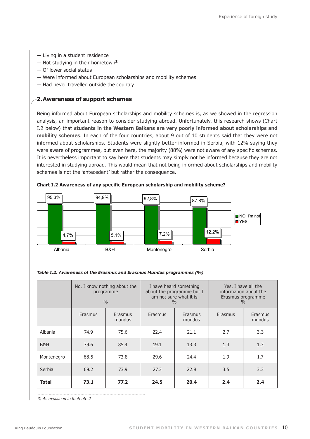- Living in a student residence
- Not studying in their hometown**<sup>3</sup>**
- Of lower social status
- Were informed about European scholarships and mobility schemes
- Had never travelled outside the country

#### **2. Awareness of support schemes**

Being informed about European scholarships and mobility schemes is, as we showed in the regression analysis, an important reason to consider studying abroad. Unfortunately, this research shows (Chart I.2 below) that **students in the Western Balkans are very poorly informed about scholarships and mobility schemes**. In each of the four countries, about 9 out of 10 students said that they were not informed about scholarships. Students were slightly better informed in Serbia, with 12% saying they were aware of programmes, but even here, the majority (88%) were not aware of any specific schemes. It is nevertheless important to say here that students may simply not be informed because they are not interested in studying abroad. This would mean that not being informed about scholarships and mobility schemes is not the `antecedent' but rather the consequence.



**Chart I.2 Awareness of any specific European scholarship and mobility scheme?** mobility scheme? (%)

|  | Table I.2. Awareness of the Erasmus and Erasmus Mundus programmes (%) |  |  |
|--|-----------------------------------------------------------------------|--|--|
|  |                                                                       |  |  |

|              | No, I know nothing about the<br>programme<br>0/0 |                   | I have heard something<br>about the programme but I | am not sure what it is<br>$\frac{0}{0}$ | Yes, I have all the<br>information about the<br>Erasmus programme<br>$\frac{0}{0}$ |                   |  |
|--------------|--------------------------------------------------|-------------------|-----------------------------------------------------|-----------------------------------------|------------------------------------------------------------------------------------|-------------------|--|
|              | Erasmus                                          | Erasmus<br>mundus | Erasmus                                             | Erasmus<br>mundus                       | Erasmus                                                                            | Erasmus<br>mundus |  |
| Albania      | 74.9                                             | 75.6              | 22.4                                                | 21.1                                    | 2.7                                                                                | 3.3               |  |
| B&H          | 79.6                                             | 85.4              | 19.1                                                | 13.3                                    | 1.3                                                                                | 1.3               |  |
| Montenegro   | 68.5                                             | 73.8              | 29.6                                                | 24.4                                    | 1.9                                                                                | 1.7               |  |
| Serbia       | 69.2                                             | 73.9              | 27.3                                                | 22.8                                    | 3.5                                                                                | 3.3               |  |
| <b>Total</b> | 73.1                                             | 77.2              | 24.5                                                | 20.4                                    | 2.4                                                                                | 2.4               |  |

*3) As explained in footnote 2*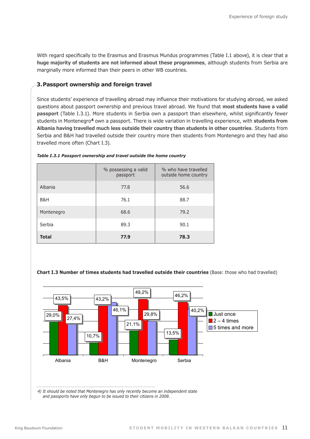With regard specifically to the Erasmus and Erasmus Mundus programmes (Table I.1 above), it is clear that a **huge majority of students are not informed about these programmes**, although students from Serbia are marginally more informed than their peers in other WB countries.

#### **3.Passport ownership and foreign travel**

Since students' experience of travelling abroad may influence their motivations for studying abroad, we asked questions about passport ownership and previous travel abroad. We found that **most students have a valid passport** (Table I.3.1). More students in Serbia own a passport than elsewhere, whilst significantly fewer students in Montenegro**4** own a passport. There is wide variation in travelling experience, with **students from Albania having travelled much less outside their country than students in other countries**. Students from Serbia and B&H had travelled outside their country more then students from Montenegro and they had also travelled more often (Chart I.3).

|              | % possessing a valid<br>passport | % who have travelled<br>outside home country |
|--------------|----------------------------------|----------------------------------------------|
| Albania      | 77.8                             | 56.6                                         |
| B&H          | 76.1                             | 88.7                                         |
| Montenegro   | 68.6                             | 79.2                                         |
| Serbia       | 89.3                             | 90.1                                         |
| <b>Total</b> | 77.9                             | 78.3                                         |

#### *Table I.3.1 Passport ownership and travel outside the home country*

# **Chart I.3 Number of times students had travelled outside their countries** (Base: those who had travelled)



*4) It should be noted that Montenegro has only recently become an independent state and passports have only begun to be issued to their citizens in 2008.*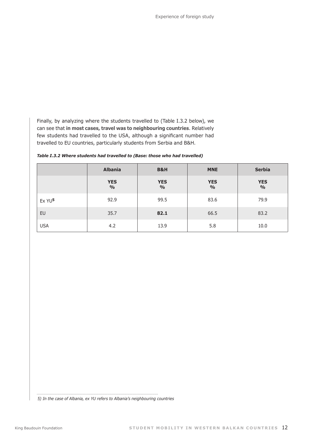Finally, by analyzing where the students travelled to (Table I.3.2 below), we can see that **in most cases, travel was to neighbouring countries**. Relatively few students had travelled to the USA, although a significant number had travelled to EU countries, particularly students from Serbia and B&H.

|                    | <b>Albania</b>              | B&H                         | <b>MNE</b>                  | <b>Serbia</b>               |
|--------------------|-----------------------------|-----------------------------|-----------------------------|-----------------------------|
|                    | <b>YES</b><br>$\frac{0}{0}$ | <b>YES</b><br>$\frac{0}{0}$ | <b>YES</b><br>$\frac{0}{0}$ | <b>YES</b><br>$\frac{0}{0}$ |
| Ex YU <sup>5</sup> | 92.9                        | 99.5                        | 83.6                        | 79.9                        |
| EU                 | 35.7                        | 82.1                        | 66.5                        | 83.2                        |
| <b>USA</b>         | 4.2                         | 13.9                        | 5.8                         | 10.0                        |

*Table I.3.2 Where students had travelled to (Base: those who had travelled)* 

*5) In the case of Albania, ex YU refers to Albania's neighbouring countries*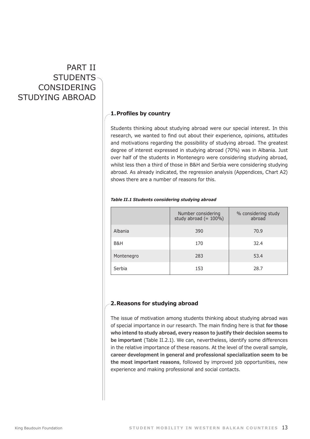# PART II **STUDENTS** considering studying abroad

### **1. Profiles by country**

Students thinking about studying abroad were our special interest. In this research, we wanted to find out about their experience, opinions, attitudes and motivations regarding the possibility of studying abroad. The greatest degree of interest expressed in studying abroad (70%) was in Albania. Just over half of the students in Montenegro were considering studying abroad, whilst less then a third of those in B&H and Serbia were considering studying abroad. As already indicated, the regression analysis (Appendices, Chart A2) shows there are a number of reasons for this.

|            | Number considering<br>study abroad $(= 100\%)$ | % considering study<br>abroad |
|------------|------------------------------------------------|-------------------------------|
| Albania    | 390                                            | 70.9                          |
| B&H        | 170                                            | 32.4                          |
| Montenegro | 283                                            | 53.4                          |
| Serbia     | 153                                            | 28.7                          |

#### *Table II.1 Students considering studying abroad*

#### **2.Reasons for studying abroad**

The issue of motivation among students thinking about studying abroad was of special importance in our research. The main finding here is that **for those who intend to study abroad, every reason to justify their decision seems to be important** (Table II.2.1). We can, nevertheless, identify some differences in the relative importance of these reasons. At the level of the overall sample, **career development in general and professional specialization seem to be the most important reasons**, followed by improved job opportunities, new experience and making professional and social contacts.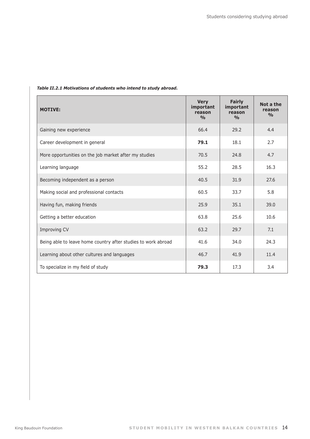| <b>MOTIVE:</b>                                                | <b>Very</b><br>important<br>reason<br>$\frac{0}{0}$ | <b>Fairly</b><br>important<br>reason<br>$\frac{0}{0}$ | Not a the<br>reason<br>$\frac{0}{0}$ |
|---------------------------------------------------------------|-----------------------------------------------------|-------------------------------------------------------|--------------------------------------|
| Gaining new experience                                        | 66.4                                                | 29.2                                                  | 4.4                                  |
| Career development in general                                 | 79.1                                                | 18.1                                                  | 2.7                                  |
| More opportunities on the job market after my studies         | 70.5                                                | 24.8                                                  | 4.7                                  |
| Learning language                                             | 55.2                                                | 28.5                                                  | 16.3                                 |
| Becoming independent as a person                              | 40.5                                                | 31.9                                                  | 27.6                                 |
| Making social and professional contacts                       | 60.5                                                | 33.7                                                  | 5.8                                  |
| Having fun, making friends                                    | 25.9                                                | 35.1                                                  | 39.0                                 |
| Getting a better education                                    | 63.8                                                | 25.6                                                  | 10.6                                 |
| Improving CV                                                  | 63.2                                                | 29.7                                                  | 7.1                                  |
| Being able to leave home country after studies to work abroad | 41.6                                                | 34.0                                                  | 24.3                                 |
| Learning about other cultures and languages                   | 46.7                                                | 41.9                                                  | 11.4                                 |
| To specialize in my field of study                            | 79.3                                                | 17.3                                                  | 3.4                                  |

#### *Table II.2.1 Motivations of students who intend to study abroad.*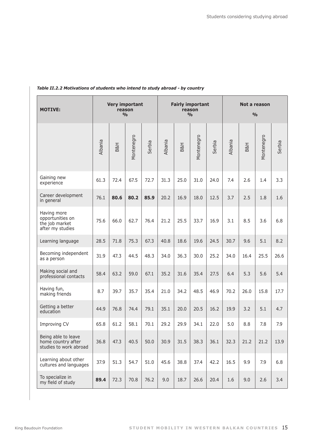| <b>MOTIVE:</b>                                                        | <b>Very important</b><br>reason<br>$\frac{0}{0}$ |      |            | <b>Fairly important</b><br>reason<br>$\frac{0}{0}$ |         |      | Not a reason<br>$\frac{0}{0}$ |        |         |      |            |        |
|-----------------------------------------------------------------------|--------------------------------------------------|------|------------|----------------------------------------------------|---------|------|-------------------------------|--------|---------|------|------------|--------|
|                                                                       | Albania                                          | B&H  | Montenegro | Serbia                                             | Albania | B&H  | Montenegro                    | Serbia | Albania | B&H  | Montenegro | Serbia |
| Gaining new<br>experience                                             | 61.3                                             | 72.4 | 67.5       | 72.7                                               | 31.3    | 25.0 | 31.0                          | 24.0   | 7.4     | 2.6  | 1.4        | 3.3    |
| Career development<br>in general                                      | 76.1                                             | 80.6 | 80.2       | 85.9                                               | 20.2    | 16.9 | 18.0                          | 12.5   | 3.7     | 2.5  | 1.8        | 1.6    |
| Having more<br>opportunities on<br>the job market<br>after my studies | 75.6                                             | 66.0 | 62.7       | 76.4                                               | 21.2    | 25.5 | 33.7                          | 16.9   | 3.1     | 8.5  | 3.6        | 6.8    |
| Learning language                                                     | 28.5                                             | 71.8 | 75.3       | 67.3                                               | 40.8    | 18.6 | 19.6                          | 24.5   | 30.7    | 9.6  | 5.1        | 8.2    |
| Becoming independent<br>as a person                                   | 31.9                                             | 47.3 | 44.5       | 48.3                                               | 34.0    | 36.3 | 30.0                          | 25.2   | 34.0    | 16.4 | 25.5       | 26.6   |
| Making social and<br>professional contacts                            | 58.4                                             | 63.2 | 59.0       | 67.1                                               | 35.2    | 31.6 | 35.4                          | 27.5   | 6.4     | 5.3  | 5.6        | 5.4    |
| Having fun,<br>making friends                                         | 8.7                                              | 39.7 | 35.7       | 35.4                                               | 21.0    | 34.2 | 48.5                          | 46.9   | 70.2    | 26.0 | 15.8       | 17.7   |
| Getting a better<br>education                                         | 44.9                                             | 76.8 | 74.4       | 79.1                                               | 35.1    | 20.0 | 20.5                          | 16.2   | 19.9    | 3.2  | 5.1        | 4.7    |
| Improving CV                                                          | 65.8                                             | 61.2 | 58.1       | 70.1                                               | 29.2    | 29.9 | 34.1                          | 22.0   | 5.0     | 8.8  | 7.8        | 7.9    |
| Being able to leave<br>home country after<br>studies to work abroad   | 36.8                                             | 47.3 | 40.5       | 50.0                                               | 30.9    | 31.5 | 38.3                          | 36.1   | 32.3    | 21.2 | 21.2       | 13.9   |
| Learning about other<br>cultures and languages                        | 37.9                                             | 51.3 | 54.7       | 51.0                                               | 45.6    | 38.8 | 37.4                          | 42.2   | 16.5    | 9.9  | 7.9        | 6.8    |
| To specialize in<br>my field of study                                 | 89.4                                             | 72.3 | 70.8       | 76.2                                               | 9.0     | 18.7 | 26.6                          | 20.4   | 1.6     | 9.0  | 2.6        | 3.4    |

#### *Table II.2.2 Motivations of students who intend to study abroad - by country*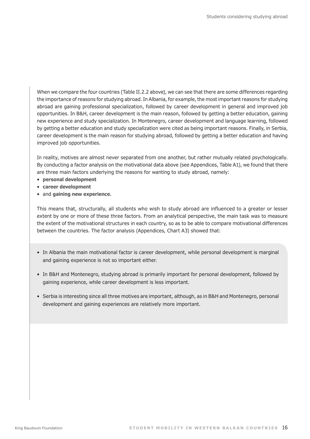When we compare the four countries (Table II.2.2 above), we can see that there are some differences regarding the importance of reasons for studying abroad. In Albania, for example, the most important reasons for studying abroad are gaining professional specialization, followed by career development in general and improved job opportunities. In B&H, career development is the main reason, followed by getting a better education, gaining new experience and study specialization. In Montenegro, career development and language learning, followed by getting a better education and study specialization were cited as being important reasons. Finally, in Serbia, career development is the main reason for studying abroad, followed by getting a better education and having improved job opportunities.

In reality, motives are almost never separated from one another, but rather mutually related psychologically. By conducting a factor analysis on the motivational data above (see Appendices, Table A1), we found that there are three main factors underlying the reasons for wanting to study abroad, namely:

- **personal development**
- **career development**
- and **gaining new experience**.

This means that, structurally, all students who wish to study abroad are influenced to a greater or lesser extent by one or more of these three factors. From an analytical perspective, the main task was to measure the extent of the motivational structures in each country, so as to be able to compare motivational differences between the countries. The factor analysis (Appendices, Chart A3) showed that:

- In Albania the main motivational factor is career development, while personal development is marginal and gaining experience is not so important either.
- In B&H and Montenegro, studying abroad is primarily important for personal development, followed by gaining experience, while career development is less important.
- Serbia is interesting since all three motives are important, although, as in B&H and Montenegro, personal development and gaining experiences are relatively more important.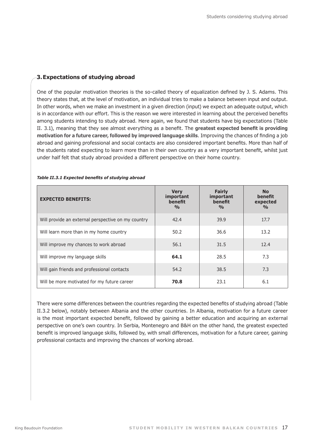#### **3. Expectations of studying abroad**

One of the popular motivation theories is the so-called theory of equalization defined by J. S. Adams. This theory states that, at the level of motivation, an individual tries to make a balance between input and output. In other words, when we make an investment in a given direction (input) we expect an adequate output, which is in accordance with our effort. This is the reason we were interested in learning about the perceived benefits among students intending to study abroad. Here again, we found that students have big expectations (Table II. 3.1), meaning that they see almost everything as a benefit. The **greatest expected benefit is providing motivation for a future career, followed by improved language skills**. Improving the chances of finding a job abroad and gaining professional and social contacts are also considered important benefits. More than half of the students rated expecting to learn more than in their own country as a very important benefit, whilst just under half felt that study abroad provided a different perspective on their home country.

| <b>EXPECTED BENEFITS:</b>                          | <b>Very</b><br>important<br>benefit<br>$\frac{0}{0}$ | <b>Fairly</b><br>important<br>benefit<br>$\frac{0}{0}$ | <b>No</b><br>benefit<br>expected<br>$\frac{0}{0}$ |
|----------------------------------------------------|------------------------------------------------------|--------------------------------------------------------|---------------------------------------------------|
| Will provide an external perspective on my country | 42.4                                                 | 39.9                                                   | 17.7                                              |
| Will learn more than in my home country            | 50.2                                                 | 36.6                                                   | 13.2                                              |
| Will improve my chances to work abroad             | 56.1                                                 | 31.5                                                   | 12.4                                              |
| Will improve my language skills                    | 64.1                                                 | 28.5                                                   | 7.3                                               |
| Will gain friends and professional contacts        | 54.2                                                 | 38.5                                                   | 7.3                                               |
| Will be more motivated for my future career        | 70.8                                                 | 23.1                                                   | 6.1                                               |

#### *Table II.3.1 Expected benefits of studying abroad*

There were some differences between the countries regarding the expected benefits of studying abroad (Table II.3.2 below), notably between Albania and the other countries. In Albania, motivation for a future career is the most important expected benefit, followed by gaining a better education and acquiring an external perspective on one's own country. In Serbia, Montenegro and B&H on the other hand, the greatest expected benefit is improved language skills, followed by, with small differences, motivation for a future career, gaining professional contacts and improving the chances of working abroad.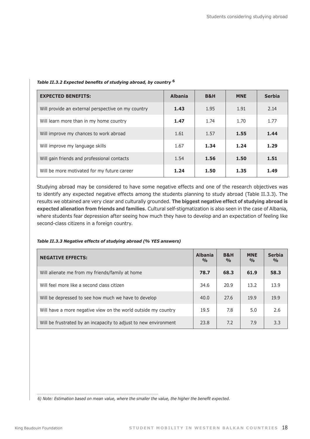| <b>EXPECTED BENEFITS:</b>                          | <b>Albania</b> | <b>B&amp;H</b> | <b>MNE</b> | <b>Serbia</b> |
|----------------------------------------------------|----------------|----------------|------------|---------------|
| Will provide an external perspective on my country | 1.43           | 1.95           | 1.91       | 2.14          |
| Will learn more than in my home country            | 1.47           | 1.74           | 1.70       | 1.77          |
| Will improve my chances to work abroad             | 1.61           | 1.57           | 1.55       | 1.44          |
| Will improve my language skills                    | 1.67           | 1.34           | 1.24       | 1.29          |
| Will gain friends and professional contacts        | 1.54           | 1.56           | 1.50       | 1.51          |
| Will be more motivated for my future career        | 1.24           | 1.50           | 1.35       | 1.49          |

#### *Table II.3.2 Expected benefits of studying abroad, by country* **<sup>6</sup>**

Studying abroad may be considered to have some negative effects and one of the research objectives was to identify any expected negative effects among the students planning to study abroad (Table II.3.3). The results we obtained are very clear and culturally grounded. **The biggest negative effect of studying abroad is expected alienation from friends and families**. Cultural self-stigmatization is also seen in the case of Albania, where students fear depression after seeing how much they have to develop and an expectation of feeling like second-class citizens in a foreign country.

#### *Table II.3.3 Negative effects of studying abroad (% YES answers)*

| <b>NEGATIVE EFFECTS:</b>                                         | <b>Albania</b><br>$\frac{0}{0}$ | <b>B&amp;H</b><br>$\frac{0}{0}$ | <b>MNE</b><br>$\frac{0}{0}$ | <b>Serbia</b><br>$\frac{0}{0}$ |
|------------------------------------------------------------------|---------------------------------|---------------------------------|-----------------------------|--------------------------------|
| Will alienate me from my friends/family at home                  | 78.7                            | 68.3                            | 61.9                        | 58.3                           |
| Will feel more like a second class citizen                       | 34.6                            | 20.9                            | 13.2                        | 13.9                           |
| Will be depressed to see how much we have to develop             | 40.0                            | 27.6                            | 19.9                        | 19.9                           |
| Will have a more negative view on the world outside my country   | 19.5                            | 7.8                             | 5.0                         | 2.6                            |
| Will be frustrated by an incapacity to adjust to new environment | 23.8                            | 7.2                             | 7.9                         | 3.3                            |

 *6) Note: Estimation based on mean value, where the smaller the value, the higher the benefit expected.*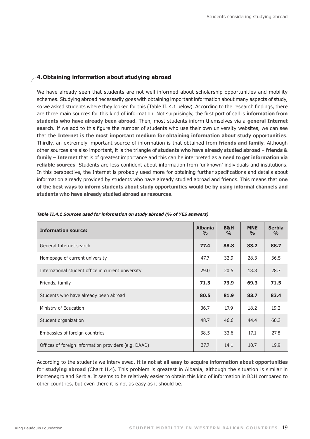#### **4. Obtaining information about studying abroad**

We have already seen that students are not well informed about scholarship opportunities and mobility schemes. Studying abroad necessarily goes with obtaining important information about many aspects of study, so we asked students where they looked for this (Table II. 4.1 below). According to the research findings, there are three main sources for this kind of information. Not surprisingly, the first port of call is **information from students who have already been abroad**. Then, most students inform themselves via a **general Internet search**. If we add to this figure the number of students who use their own university websites, we can see that the **Internet is the most important medium for obtaining information about study opportunities**. Thirdly, an extremely important source of information is that obtained from **friends and family**. Although other sources are also important, it is the triangle of **students who have already studied abroad – friends & family – Internet** that is of greatest importance and this can be interpreted as a **need to get information via reliable sources**. Students are less confident about information from 'unknown' individuals and institutions. In this perspective, the Internet is probably used more for obtaining further specifications and details about information already provided by students who have already studied abroad and friends. This means that **one of the best ways to inform students about study opportunities would be by using informal channels and students who have already studied abroad as resources**.

| <b>Information source:</b>                           | <b>Albania</b><br>$\frac{0}{0}$ | <b>B&amp;H</b><br>$\frac{9}{0}$ | <b>MNE</b><br>$\frac{0}{0}$ | <b>Serbia</b><br>$\frac{9}{0}$ |
|------------------------------------------------------|---------------------------------|---------------------------------|-----------------------------|--------------------------------|
| General Internet search                              | 77.4                            | 88.8                            | 83.2                        | 88.7                           |
| Homepage of current university                       | 47.7                            | 32.9                            | 28.3                        | 36.5                           |
| International student office in current university   | 29.0                            | 20.5                            | 18.8                        | 28.7                           |
| Friends, family                                      | 71.3                            | 73.9                            | 69.3                        | 71.5                           |
| Students who have already been abroad                | 80.5                            | 81.9                            | 83.7                        | 83.4                           |
| Ministry of Education                                | 36.7                            | 17.9                            | 18.2                        | 19.2                           |
| Student organization                                 | 48.7                            | 46.6                            | 44.4                        | 60.3                           |
| Embassies of foreign countries                       | 38.5                            | 33.6                            | 17.1                        | 27.8                           |
| Offices of foreign information providers (e.g. DAAD) | 37.7                            | 14.1                            | 10.7                        | 19.9                           |

#### *Table II.4.1 Sources used for information on study abroad (% of YES answers)*

According to the students we interviewed, **it is not at all easy to acquire information about opportunities** for **studying abroad** (Chart II.4). This problem is greatest in Albania, although the situation is similar in Montenegro and Serbia. It seems to be relatively easier to obtain this kind of information in B&H compared to other countries, but even there it is not as easy as it should be.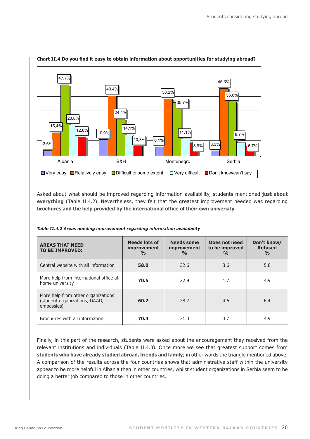

### **Chart II.4 Do you find it easy to obtain information about opportunities for studying abroad?** for studying abroad? (%)

Asked about what should be improved regarding information availability, students mentioned **just about everything** (Table II.4.2). Nevertheless, they felt that the greatest improvement needed was regarding **brochures and the help provided by the international office of their own university**.

| <b>AREAS THAT NEED</b><br><b>TO BE IMPROVED:</b>                                  | <b>Needs lots of</b><br><i>improvement</i><br>$\frac{0}{0}$ | <b>Needs some</b><br><i>improvement</i><br>$\frac{0}{0}$ | Does not need<br>to be improved<br>$\frac{0}{0}$ | Don't know/<br><b>Refused</b><br>$\frac{0}{0}$ |
|-----------------------------------------------------------------------------------|-------------------------------------------------------------|----------------------------------------------------------|--------------------------------------------------|------------------------------------------------|
| Central website with all information                                              | 58.0                                                        | 32.6                                                     | 3.6                                              | 5.8                                            |
| More help from international office at<br>home university                         | 70.5                                                        | 22.9                                                     | 1.7                                              | 4.9                                            |
| More help from other organizations<br>(student organizations, DAAD,<br>embassies) | 60.2                                                        | 28.7                                                     | 4.6                                              | 6.4                                            |
| Brochures with all information                                                    | 70.4                                                        | 21.0                                                     | 3.7                                              | 4.9                                            |

*Table II.4.2 Areas needing improvement regarding information availability*

Finally, in this part of the research, students were asked about the encouragement they received from the relevant institutions and individuals (Table II.4.3). Once more we see that greatest support comes from **students who have already studied abroad, friends and family**; in other words the triangle mentioned above. A comparison of the results across the four countries shows that administrative staff within the university appear to be more helpful in Albania then in other countries, whilst student organizations in Serbia seem to be doing a better job compared to those in other countries.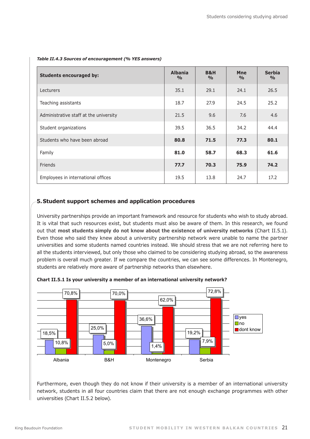| <b>Students encouraged by:</b>         | <b>Albania</b><br>$\frac{0}{0}$ | <b>B&amp;H</b><br>$\frac{0}{0}$ | <b>Mne</b><br>$\frac{0}{0}$ | <b>Serbia</b><br>$\frac{0}{0}$ |
|----------------------------------------|---------------------------------|---------------------------------|-----------------------------|--------------------------------|
| Lecturers                              | 35.1                            | 29.1                            | 24.1                        | 26.5                           |
| Teaching assistants                    | 18.7                            | 27.9                            | 24.5                        | 25.2                           |
| Administrative staff at the university | 21.5                            | 9.6                             | 7.6                         | 4.6                            |
| Student organizations                  | 39.5                            | 36.5                            | 34.2                        | 44.4                           |
| Students who have been abroad          | 80.8                            | 71.5                            | 77.3                        | 80.1                           |
| Family                                 | 81.0                            | 58.7                            | 68.3                        | 61.6                           |
| Friends                                | 77.7                            | 70.3                            | 75.9                        | 74.2                           |
| Employees in international offices     | 19.5                            | 13.8                            | 24.7                        | 17.2                           |

#### *Table II.4.3 Sources of encouragement (% YES answers)*

#### **5.Student support schemes and application procedures**

University partnerships provide an important framework and resource for students who wish to study abroad. It is vital that such resources exist, but students must also be aware of them. In this research, we found out that **most students simply do not know about the existence of university networks** (Chart II.5.1). Even those who said they knew about a university partnership network were unable to name the partner universities and some students named countries instead. We should stress that we are not referring here to all the students interviewed, but only those who claimed to be considering studying abroad, so the awareness problem is overall much greater. If we compare the countries, we can see some differences. In Montenegro, students are relatively more aware of partnership networks than elsewhere.



Chart II.5.1 Is your university a member of an international university network?

Furthermore, even though they do not know if their university is a member of an international university network, students in all four countries claim that there are not enough exchange programmes with other universities (Chart II.5.2 below).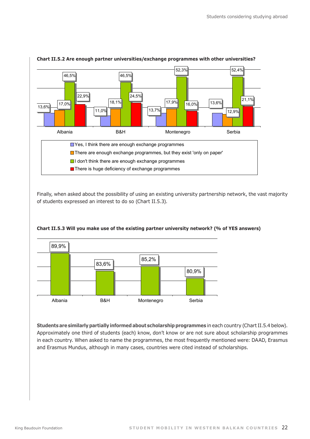

# Chart II.5.2 Are enough partner universities/exchange programmes with other universities?

Finally, when asked about the possibility of using an existing university partnership network, the vast majority of students expressed an interest to do so (Chart II.5.3).



#### Chart II.5.3 Will you make use of the existing partner university network? (% of YES answers)

**Students are similarly partially informed about scholarship programmes** in each country (Chart II.5.4 below). Approximately one third of students (each) know, don't know or are not sure about scholarship programmes in each country. When asked to name the programmes, the most frequently mentioned were: DAAD, Erasmus and Erasmus Mundus, although in many cases, countries were cited instead of scholarships.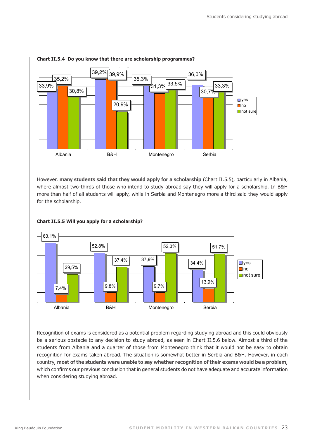

#### **Chart II.5.4 Do you know that there are scholarship programmes?**

However, **many students said that they would apply for a scholarship** (Chart II.5.5), particularly in Albania, where almost two-thirds of those who intend to study abroad say they will apply for a scholarship. In B&H more than half of all students will apply, while in Serbia and Montenegro more a third said they would apply for the scholarship.



#### **Chart II.5.5 Will you apply for a scholarship?**

Recognition of exams is considered as a potential problem regarding studying abroad and this could obviously be a serious obstacle to any decision to study abroad, as seen in Chart II.5.6 below. Almost a third of the students from Albania and a quarter of those from Montenegro think that it would not be easy to obtain recognition for exams taken abroad. The situation is somewhat better in Serbia and B&H. However, in each country, **most of the students were unable to say whether recognition of their exams would be a problem**, which confirms our previous conclusion that in general students do not have adequate and accurate information when considering studying abroad.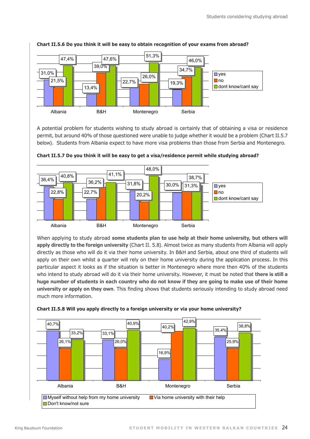

Chart II.5.6 Do you think it will be easy to obtain recognition of your exams from abroad?

A potential problem for students wishing to study abroad is certainly that of obtaining a visa or residence permit, but around 40% of those questioned were unable to judge whether it would be a problem (Chart II.5.7 below). Students from Albania expect to have more visa problems than those from Serbia and Montenegro. Chart II. 5.7 Do you think it will be easy to get a visa/residence



Chart II.5.7 Do you think it will be easy to get a visa/residence permit while studying abroad?

When applying to study abroad **some students plan to use help at their home university, but others will apply directly to the foreign university** (Chart II. 5.8). Almost twice as many students from Albania will apply directly as those who will do it via their home university. In B&H and Serbia, about one third of students will apply on their own whilst a quarter will rely on their home university during the application process. In this particular aspect it looks as if the situation is better in Montenegro where more then 40% of the students who intend to study abroad will do it via their home university. However, it must be noted that **there is still a huge number of students in each country who do not know if they are going to make use of their home university or apply on they own**. This finding shows that students seriously intending to study abroad need much more information.



**Chart II.5.8 Will you apply directly to a foreign university or via your home university?** your home university? (%)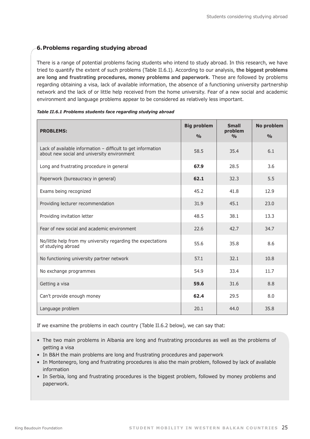#### **6.Problems regarding studying abroad**

There is a range of potential problems facing students who intend to study abroad. In this research, we have tried to quantify the extent of such problems (Table II.6.1). According to our analysis, **the biggest problems are long and frustrating procedures, money problems and paperwork**. These are followed by problems regarding obtaining a visa, lack of available information, the absence of a functioning university partnership network and the lack of or little help received from the home university. Fear of a new social and academic environment and language problems appear to be considered as relatively less important.

| <b>PROBLEMS:</b>                                                                                            | <b>Big problem</b><br>$\frac{0}{0}$ | <b>Small</b><br>problem<br>$\frac{0}{0}$ | No problem<br>$\frac{0}{0}$ |
|-------------------------------------------------------------------------------------------------------------|-------------------------------------|------------------------------------------|-----------------------------|
| Lack of available information - difficult to get information<br>about new social and university environment | 58.5                                | 35.4                                     | 6.1                         |
| Long and frustrating procedure in general                                                                   | 67.9                                | 28.5                                     | 3.6                         |
| Paperwork (bureaucracy in general)                                                                          | 62.1                                | 32.3                                     | 5.5                         |
| Exams being recognized                                                                                      | 45.2                                | 41.8                                     | 12.9                        |
| Providing lecturer recommendation                                                                           | 31.9                                | 45.1                                     | 23.0                        |
| Providing invitation letter                                                                                 | 48.5                                | 38.1                                     | 13.3                        |
| Fear of new social and academic environment                                                                 | 22.6                                | 42.7                                     | 34.7                        |
| No/little help from my university regarding the expectations<br>of studying abroad                          | 55.6                                | 35.8                                     | 8.6                         |
| No functioning university partner network                                                                   | 57.1                                | 32.1                                     | 10.8                        |
| No exchange programmes                                                                                      | 54.9                                | 33.4                                     | 11.7                        |
| Getting a visa                                                                                              | 59.6                                | 31.6                                     | 8.8                         |
| Can't provide enough money                                                                                  | 62.4                                | 29.5                                     | 8.0                         |
| Language problem                                                                                            | 20.1                                | 44.0                                     | 35.8                        |

*Table II.6.1 Problems students face regarding studying abroad*

If we examine the problems in each country (Table II.6.2 below), we can say that:

- The two main problems in Albania are long and frustrating procedures as well as the problems of getting a visa
- In B&H the main problems are long and frustrating procedures and paperwork
- In Montenegro, long and frustrating procedures is also the main problem, followed by lack of available information
- In Serbia, long and frustrating procedures is the biggest problem, followed by money problems and paperwork.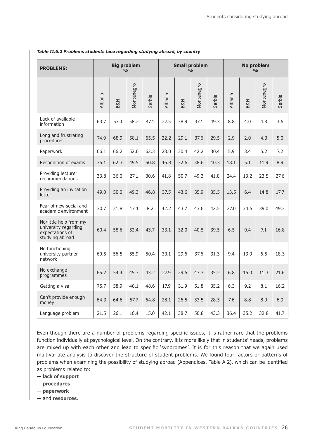| <b>PROBLEMS:</b>                                                                     | <b>Big problem</b><br><b>Small problem</b><br><b>No problem</b><br>$\frac{0}{0}$<br>$\frac{0}{0}$<br>$\frac{0}{0}$ |      |            |        |         |      |            |        |         |      |            |        |
|--------------------------------------------------------------------------------------|--------------------------------------------------------------------------------------------------------------------|------|------------|--------|---------|------|------------|--------|---------|------|------------|--------|
|                                                                                      | Albania                                                                                                            | B&H  | Montenegro | Serbia | Albania | B&H  | Montenegro | Serbia | Albania | B&H  | Montenegro | Serbia |
| Lack of available<br>information                                                     | 63.7                                                                                                               | 57.0 | 58.2       | 47.1   | 27.5    | 38.9 | 37.1       | 49.3   | 8.8     | 4.0  | 4.8        | 3.6    |
| Long and frustrating<br>procedures                                                   | 74.9                                                                                                               | 68.9 | 58.1       | 65.5   | 22.2    | 29.1 | 37.6       | 29.5   | 2.9     | 2.0  | 4.3        | 5.0    |
| Paperwork                                                                            | 66.1                                                                                                               | 66.2 | 52.6       | 62.3   | 28.0    | 30.4 | 42.2       | 30.4   | 5.9     | 3.4  | 5.2        | 7.2    |
| Recognition of exams                                                                 | 35.1                                                                                                               | 62.3 | 49.5       | 50.8   | 46.8    | 32.6 | 38.6       | 40.3   | 18.1    | 5.1  | 11.9       | 8.9    |
| Providing lecturer<br>recommendations                                                | 33.8                                                                                                               | 36.0 | 27.1       | 30.6   | 41.8    | 50.7 | 49.3       | 41.8   | 24.4    | 13.2 | 23.5       | 27.6   |
| Providing an invitation<br>letter                                                    | 49.0                                                                                                               | 50.0 | 49.3       | 46.8   | 37.5    | 43.6 | 35.9       | 35.5   | 13.5    | 6.4  | 14.8       | 17.7   |
| Fear of new social and<br>academic environment                                       | 30.7                                                                                                               | 21.8 | 17.4       | 8.2    | 42.2    | 43.7 | 43.6       | 42.5   | 27.0    | 34.5 | 39.0       | 49.3   |
| No/little help from my<br>university regarding<br>expectations of<br>studying abroad | 60.4                                                                                                               | 58.6 | 52.4       | 43.7   | 33.1    | 32.0 | 40.5       | 39.5   | 6.5     | 9.4  | 7.1        | 16.8   |
| No functioning<br>university partner<br>network                                      | 60.5                                                                                                               | 56.5 | 55.9       | 50.4   | 30.1    | 29.6 | 37.6       | 31.3   | 9.4     | 13.9 | 6.5        | 18.3   |
| No exchange<br>programmes                                                            | 65.2                                                                                                               | 54.4 | 45.3       | 43.2   | 27.9    | 29.6 | 43.3       | 35.2   | 6.8     | 16.0 | 11.3       | 21.6   |
| Getting a visa                                                                       | 75.7                                                                                                               | 58.9 | 40.1       | 48.6   | 17.9    | 31.9 | 51.8       | 35.2   | 6.3     | 9.2  | 8.1        | 16.2   |
| Can't provide enough<br>money                                                        | 64.3                                                                                                               | 64.6 | 57.7       | 64.8   | 28.1    | 26.5 | 33.5       | 28.3   | 7.6     | 8.8  | 8.9        | 6.9    |
| Language problem                                                                     | 21.5                                                                                                               | 26.1 | 16.4       | 15.0   | 42.1    | 38.7 | 50.8       | 43.3   | 36.4    | 35.2 | 32.8       | 41.7   |

#### *Table II.6.2 Problems students face regarding studying abroad, by country*

Even though there are a number of problems regarding specific issues, it is rather rare that the problems function individually at psychological level. On the contrary, it is more likely that in students' heads, problems are mixed up with each other and lead to specific 'syndromes'. It is for this reason that we again used multivariate analysis to discover the structure of student problems. We found four factors or patterns of problems when examining the possibility of studying abroad (Appendices, Table A 2), which can be identified as problems related to:

— **lack of support**

- **procedures**
- **paperwork**
- and **resources**.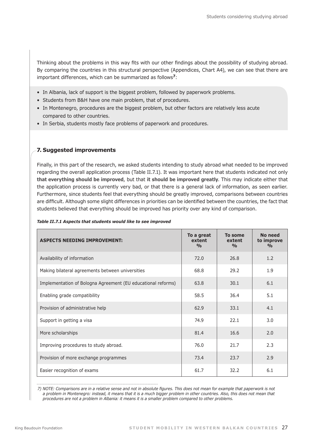Thinking about the problems in this way fits with our other findings about the possibility of studying abroad. By comparing the countries in this structural perspective (Appendices, Chart A4), we can see that there are important differences, which can be summarized as follows**7**:

- In Albania, lack of support is the biggest problem, followed by paperwork problems.
- Students from B&H have one main problem, that of procedures.
- In Montenegro, procedures are the biggest problem, but other factors are relatively less acute compared to other countries.
- In Serbia, students mostly face problems of paperwork and procedures.

### **7. Suggested improvements**

Finally, in this part of the research, we asked students intending to study abroad what needed to be improved regarding the overall application process (Table II.7.1). It was important here that students indicated not only **that everything should be improved**, but that **it should be improved greatly**. This may indicate either that the application process is currently very bad, or that there is a general lack of information, as seen earlier. Furthermore, since students feel that everything should be greatly improved, comparisons between countries are difficult. Although some slight differences in priorities can be identified between the countries, the fact that students believed that everything should be improved has priority over any kind of comparison.

| <b>ASPECTS NEEDING IMPROVEMENT:</b>                          | To a great<br>extent<br>O <sub>0</sub> | To some<br>extent<br>$\frac{0}{0}$ | No need<br>to improve<br>$\frac{0}{0}$ |
|--------------------------------------------------------------|----------------------------------------|------------------------------------|----------------------------------------|
| Availability of information                                  | 72.0                                   | 26.8                               | 1.2                                    |
| Making bilateral agreements between universities             | 68.8                                   | 29.2                               | 1.9                                    |
| Implementation of Bologna Agreement (EU educational reforms) | 63.8                                   | 30.1                               | 6.1                                    |
| Enabling grade compatibility                                 | 58.5                                   | 36.4                               | 5.1                                    |
| Provision of administrative help                             | 62.9                                   | 33.1                               | 4.1                                    |
| Support in getting a visa                                    | 74.9                                   | 22.1                               | 3.0                                    |
| More scholarships                                            | 81.4                                   | 16.6                               | 2.0                                    |
| Improving procedures to study abroad.                        | 76.0                                   | 21.7                               | 2.3                                    |
| Provision of more exchange programmes                        | 73.4                                   | 23.7                               | 2.9                                    |
| Easier recognition of exams                                  | 61.7                                   | 32.2                               | 6.1                                    |

#### *Table II.7.1 Aspects that students would like to see improved*

7) NOTE: Comparisons are in a relative sense and not in absolute figures. This does not mean for example that paperwork is not *a problem in Montenegro: instead, it means that it is a much bigger problem in other countries. Also, this does not mean that procedures are not a problem in Albania: it means it is a smaller problem compared to other problems.*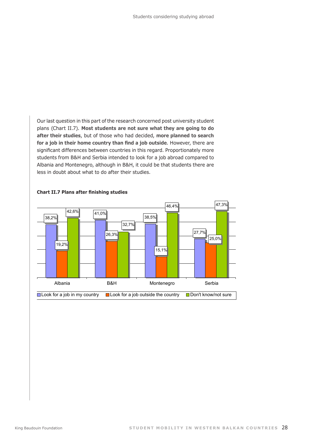Our last question in this part of the research concerned post university student plans (Chart II.7). **Most students are not sure what they are going to do after their studies**, but of those who had decided, **more planned to search for a job in their home country than find a job outside**. However, there are significant differences between countries in this regard. Proportionately more students from B&H and Serbia intended to look for a job abroad compared to Albania and Montenegro, although in B&H, it could be that students there are less in doubt about what to do after their studies.



#### **Chart II.7 Plans after finishing studies**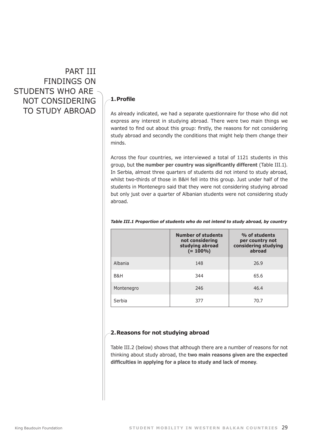Part III Findings on STUDENTS WHO ARE not considering to study abroad

#### **1. Profile**

As already indicated, we had a separate questionnaire for those who did not express any interest in studying abroad. There were two main things we wanted to find out about this group: firstly, the reasons for not considering study abroad and secondly the conditions that might help them change their minds.

Across the four countries, we interviewed a total of 1121 students in this group, but **the number per country was significantly different** (Table III.1). In Serbia, almost three quarters of students did not intend to study abroad, whilst two-thirds of those in B&H fell into this group. Just under half of the students in Montenegro said that they were not considering studying abroad but only just over a quarter of Albanian students were not considering study abroad.

|            | <b>Number of students</b><br>not considering<br>studying abroad<br>$(= 100\%)$ | % of students<br>per country not<br>considering studying<br>abroad |
|------------|--------------------------------------------------------------------------------|--------------------------------------------------------------------|
| Albania    | 148                                                                            | 26.9                                                               |
| B&H        | 344                                                                            | 65.6                                                               |
| Montenegro | 246                                                                            | 46.4                                                               |
| Serbia     | 377                                                                            | 70.7                                                               |

#### *Table III.1 Proportion of students who do not intend to study abroad, by country*

#### **2.Reasons for not studying abroad**

Table III.2 (below) shows that although there are a number of reasons for not thinking about study abroad, the **two main reasons given are the expected difficulties in applying for a place to study and lack of money**.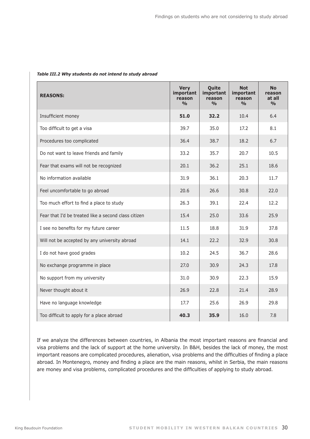| <b>REASONS:</b>                                      | <b>Very</b><br>important<br>reason<br>$\frac{0}{\alpha}$ | Quite<br>important<br>reason<br>$\frac{0}{0}$ | <b>Not</b><br>important<br>reason<br>$\frac{0}{\alpha}$ | <b>No</b><br>reason<br>at all<br>$\frac{1}{2}$ |
|------------------------------------------------------|----------------------------------------------------------|-----------------------------------------------|---------------------------------------------------------|------------------------------------------------|
| Insufficient money                                   | 51.0                                                     | 32.2                                          | 10.4                                                    | 6.4                                            |
| Too difficult to get a visa                          | 39.7                                                     | 35.0                                          | 17.2                                                    | 8.1                                            |
| Procedures too complicated                           | 36.4                                                     | 38.7                                          | 18.2                                                    | 6.7                                            |
| Do not want to leave friends and family              | 33.2                                                     | 35.7                                          | 20.7                                                    | 10.5                                           |
| Fear that exams will not be recognized               | 20.1                                                     | 36.2                                          | 25.1                                                    | 18.6                                           |
| No information available                             | 31.9                                                     | 36.1                                          | 20.3                                                    | 11.7                                           |
| Feel uncomfortable to go abroad                      | 20.6                                                     | 26.6                                          | 30.8                                                    | 22.0                                           |
| Too much effort to find a place to study             | 26.3                                                     | 39.1                                          | 22.4                                                    | 12.2                                           |
| Fear that I'd be treated like a second class citizen | 15.4                                                     | 25.0                                          | 33.6                                                    | 25.9                                           |
| I see no benefits for my future career               | 11.5                                                     | 18.8                                          | 31.9                                                    | 37.8                                           |
| Will not be accepted by any university abroad        | 14.1                                                     | 22.2                                          | 32.9                                                    | 30.8                                           |
| I do not have good grades                            | 10.2                                                     | 24.5                                          | 36.7                                                    | 28.6                                           |
| No exchange programme in place                       | 27.0                                                     | 30.9                                          | 24.3                                                    | 17.8                                           |
| No support from my university                        | 31.0                                                     | 30.9                                          | 22.3                                                    | 15.9                                           |
| Never thought about it                               | 26.9                                                     | 22.8                                          | 21.4                                                    | 28.9                                           |
| Have no language knowledge                           | 17.7                                                     | 25.6                                          | 26.9                                                    | 29.8                                           |
| Too difficult to apply for a place abroad            | 40.3                                                     | 35.9                                          | 16.0                                                    | 7.8                                            |

#### *Table III.2 Why students do not intend to study abroad*

If we analyze the differences between countries, in Albania the most important reasons are financial and visa problems and the lack of support at the home university. In B&H, besides the lack of money, the most important reasons are complicated procedures, alienation, visa problems and the difficulties of finding a place abroad. In Montenegro, money and finding a place are the main reasons, whilst in Serbia, the main reasons are money and visa problems, complicated procedures and the difficulties of applying to study abroad.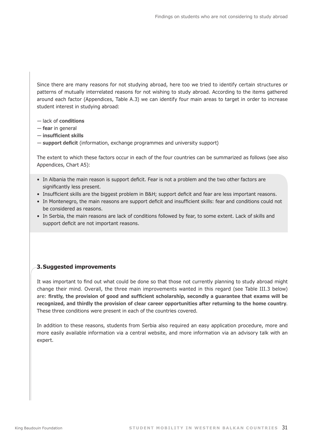Since there are many reasons for not studying abroad, here too we tried to identify certain structures or patterns of mutually interrelated reasons for not wishing to study abroad. According to the items gathered around each factor (Appendices, Table A.3) we can identify four main areas to target in order to increase student interest in studying abroad:

- lack of **conditions**
- **fear** in general
- **insufficient skills**
- **support deficit** (information, exchange programmes and university support)

The extent to which these factors occur in each of the four countries can be summarized as follows (see also Appendices, Chart A5):

- In Albania the main reason is support deficit. Fear is not a problem and the two other factors are significantly less present.
- Insufficient skills are the biggest problem in B&H; support deficit and fear are less important reasons.
- In Montenegro, the main reasons are support deficit and insufficient skills: fear and conditions could not be considered as reasons.
- In Serbia, the main reasons are lack of conditions followed by fear, to some extent. Lack of skills and support deficit are not important reasons.

### **3.Suggested improvements**

It was important to find out what could be done so that those not currently planning to study abroad might change their mind. Overall, the three main improvements wanted in this regard (see Table III.3 below) are: **firstly, the provision of good and sufficient scholarship, secondly a guarantee that exams will be recognized, and thirdly the provision of clear career opportunities after returning to the home country**. These three conditions were present in each of the countries covered.

In addition to these reasons, students from Serbia also required an easy application procedure, more and more easily available information via a central website, and more information via an advisory talk with an expert.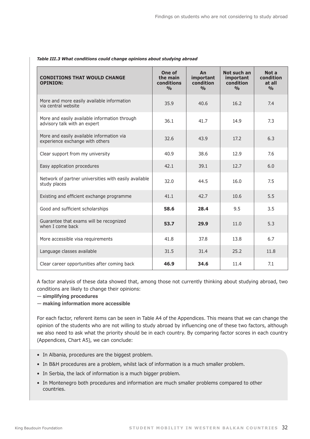| <b>CONDITIONS THAT WOULD CHANGE</b><br><b>OPINION:</b>                        | One of<br>the main<br>conditions<br>$\frac{0}{\alpha}$ | An<br>important<br>condition<br>$\frac{0}{\alpha}$ | Not such an<br>important<br>condition<br>$\frac{0}{\alpha}$ | Not a<br>condition<br>at all<br>$\frac{0}{0}$ |
|-------------------------------------------------------------------------------|--------------------------------------------------------|----------------------------------------------------|-------------------------------------------------------------|-----------------------------------------------|
| More and more easily available information<br>via central website             | 35.9                                                   | 40.6                                               | 16.2                                                        | 7.4                                           |
| More and easily available information through<br>advisory talk with an expert | 36.1                                                   | 41.7                                               | 14.9                                                        | 7.3                                           |
| More and easily available information via<br>experience exchange with others  | 32.6                                                   | 43.9                                               | 17.2                                                        | 6,3                                           |
| Clear support from my university                                              | 40.9                                                   | 38.6                                               | 12.9                                                        | 7.6                                           |
| Easy application procedures                                                   | 42.1                                                   | 39.1                                               | 12.7                                                        | 6.0                                           |
| Network of partner universities with easily available<br>study places         | 32.0                                                   | 44.5                                               | 16.0                                                        | 7.5                                           |
| Existing and efficient exchange programme                                     | 41.1                                                   | 42.7                                               | 10.6                                                        | 5.5                                           |
| Good and sufficient scholarships                                              | 58.6                                                   | 28.4                                               | 9.5                                                         | 3.5                                           |
| Guarantee that exams will be recognized<br>when I come back                   | 53.7                                                   | 29.9                                               | 11.0                                                        | 5.3                                           |
| More accessible visa requirements                                             | 41.8                                                   | 37.8                                               | 13.8                                                        | 6.7                                           |
| Language classes available                                                    | 31.5                                                   | 31.4                                               | 25.2                                                        | 11.8                                          |
| Clear career opportunities after coming back                                  | 46.9                                                   | 34.6                                               | 11.4                                                        | 7.1                                           |

#### *Table III.3 What conditions could change opinions about studying abroad*

A factor analysis of these data showed that, among those not currently thinking about studying abroad, two conditions are likely to change their opinions:

- **simplifying procedures**
- **making information more accessible**

For each factor, referent items can be seen in Table A4 of the Appendices. This means that we can change the opinion of the students who are not willing to study abroad by influencing one of these two factors, although we also need to ask what the priority should be in each country. By comparing factor scores in each country (Appendices, Chart A5), we can conclude:

- In Albania, procedures are the biggest problem.
- In B&H procedures are a problem, whilst lack of information is a much smaller problem.
- In Serbia, the lack of information is a much bigger problem.
- In Montenegro both procedures and information are much smaller problems compared to other countries.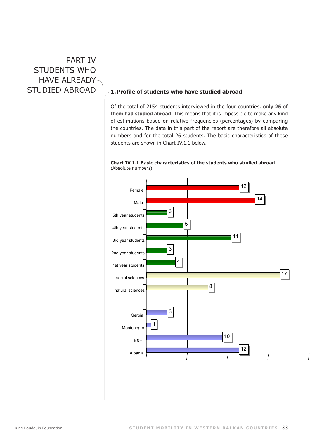# PART IV STUDENTS WHO have already

## studied abroad **1. Profile of students who have studied abroad**

Of the total of 2154 students interviewed in the four countries, **only 26 of them had studied abroad**. This means that it is impossible to make any kind of estimations based on relative frequencies (percentages) by comparing the countries. The data in this part of the report are therefore all absolute numbers and for the total 26 students. The basic characteristics of these students are shown in Chart IV.1.1 below.



**Chart IV.1.1 Basic characteristics of the students who studied abroad** (Absolute numbers)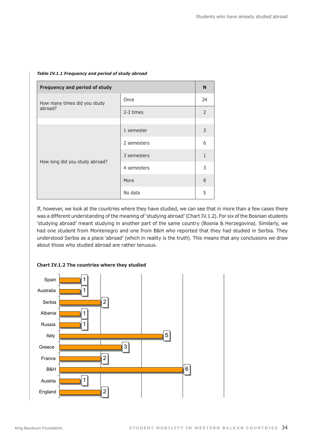| Frequency and period of study  |             |                |
|--------------------------------|-------------|----------------|
| How many times did you study   | Once        | 24             |
| abroad?                        | 2-3 times   | $\overline{2}$ |
|                                |             |                |
|                                | 1 semester  | 3              |
|                                | 2 semesters | 6              |
|                                | 3 semesters | $\mathbf{1}$   |
| How long did you study abroad? | 4 semesters | 3              |
|                                | More        | 8              |
|                                | No data     | 5              |

#### *Table IV.1.1 Frequency and period of study abroad*

If, however, we look at the countries where they have studied, we can see that in more than a few cases there was a different understanding of the meaning of 'studying abroad' (Chart IV.1.2). For six of the Bosnian students 'studying abroad' meant studying in another part of the same country (Bosnia & Herzegovina). Similarly, we had one student from Montenegro and one from B&H who reported that they had studied in Serbia. They understood Serbia as a place 'abroad' (which in reality is the truth). This means that any conclusions we draw about those who studied abroad are rather tenuous.



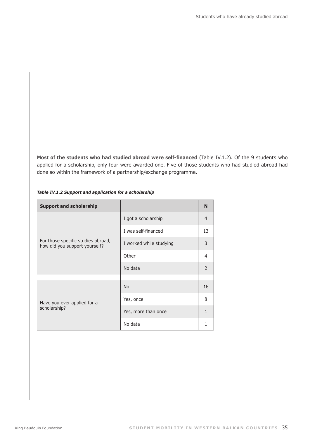**Most of the students who had studied abroad were self-financed** (Table IV.1.2). Of the 9 students who applied for a scholarship, only four were awarded one. Five of those students who had studied abroad had done so within the framework of a partnership/exchange programme.

| <b>Support and scholarship</b>                                      |                         | N              |
|---------------------------------------------------------------------|-------------------------|----------------|
|                                                                     | I got a scholarship     | $\overline{4}$ |
| For those specific studies abroad,<br>how did you support yourself? | I was self-financed     | 13             |
|                                                                     | I worked while studying | 3              |
|                                                                     | Other                   | 4              |
|                                                                     | No data                 | $\mathcal{P}$  |
|                                                                     |                         |                |
|                                                                     | <b>No</b>               | 16             |
| Have you ever applied for a                                         | Yes, once               | 8              |
| scholarship?                                                        | Yes, more than once     | 1              |
|                                                                     | No data                 | 1              |

#### *Table IV.1.2 Support and application for a scholarship*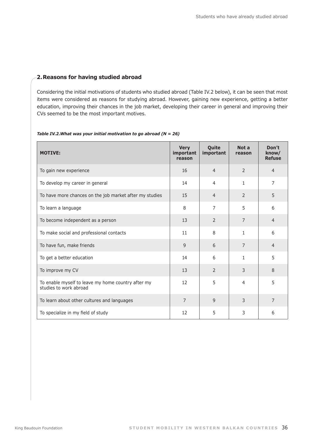#### **2.Reasons for having studied abroad**

Considering the initial motivations of students who studied abroad (Table IV.2 below), it can be seen that most items were considered as reasons for studying abroad. However, gaining new experience, getting a better education, improving their chances in the job market, developing their career in general and improving their CVs seemed to be the most important motives.

#### *Table IV.2.What was your initial motivation to go abroad (N = 26)*

| <b>MOTIVE:</b>                                                               | <b>Very</b><br>important<br>reason | Quite<br>important | Not a<br>reason | Don't<br>know/<br><b>Refuse</b> |
|------------------------------------------------------------------------------|------------------------------------|--------------------|-----------------|---------------------------------|
| To gain new experience                                                       | 16                                 | $\overline{4}$     | $\overline{2}$  | $\overline{4}$                  |
| To develop my career in general                                              | 14                                 | 4                  | 1               | 7                               |
| To have more chances on the job market after my studies                      | 15                                 | $\overline{4}$     | $\overline{2}$  | 5                               |
| To learn a language                                                          | 8                                  | 7                  | 5               | 6                               |
| To become independent as a person                                            | 13                                 | 2                  | $\overline{7}$  | $\overline{4}$                  |
| To make social and professional contacts                                     | 11                                 | 8                  | $\mathbf{1}$    | 6                               |
| To have fun, make friends                                                    | 9                                  | 6                  | $\overline{7}$  | $\overline{4}$                  |
| To get a better education                                                    | 14                                 | 6                  | $\mathbf{1}$    | 5                               |
| To improve my CV                                                             | 13                                 | $\overline{2}$     | 3               | 8                               |
| To enable myself to leave my home country after my<br>studies to work abroad | 12                                 | 5                  | 4               | 5                               |
| To learn about other cultures and languages                                  | $\overline{7}$                     | $\mathsf{q}$       | 3               | $\overline{7}$                  |
| To specialize in my field of study                                           | 12                                 | 5                  | 3               | 6                               |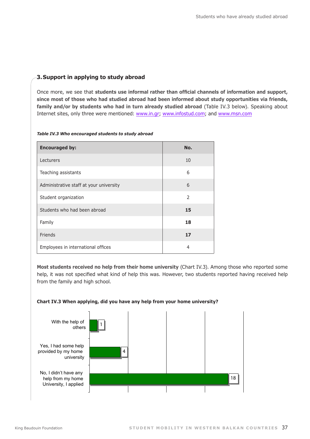### **3.Support in applying to study abroad**

Once more, we see that **students use informal rather than official channels of information and support, since most of those who had studied abroad had been informed about study opportunities via friends, family and/or by students who had in turn already studied abroad** (Table IV.3 below). Speaking about Internet sites, only three were mentioned: www.in.gr; www.infostud.com; and www.msn.com

| <b>Encouraged by:</b>                   | No.            |
|-----------------------------------------|----------------|
| Lecturers                               | 10             |
| Teaching assistants                     | 6              |
| Administrative staff at your university | 6              |
| Student organization                    | $\overline{2}$ |
| Students who had been abroad            | 15             |
| Family                                  | 18             |
| Friends                                 | 17             |
| Employees in international offices      | 4              |

#### *Table IV.3 Who encouraged students to study abroad*

**Most students received no help from their home university** (Chart IV.3). Among those who reported some help, it was not specified what kind of help this was. However, two students reported having received help from the family and high school.



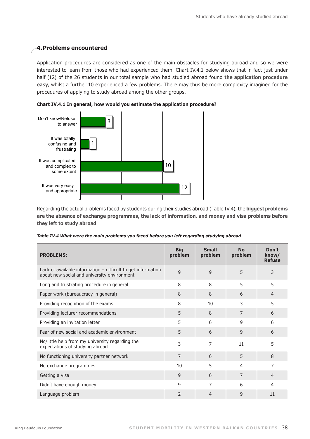#### **4.Problems encountered**

Application procedures are considered as one of the main obstacles for studying abroad and so we were interested to learn from those who had experienced them. Chart IV.4.1 below shows that in fact just under half (12) of the 26 students in our total sample who had studied abroad found **the application procedure easy**, whilst a further 10 experienced a few problems. There may thus be more complexity imagined for the procedures of applying to study abroad among the other groups.





Regarding the actual problems faced by students during their studies abroad (Table IV.4), the **biggest problems are the absence of exchange programmes, the lack of information, and money and visa problems before they left to study abroad**.

| Table IV.4 What were the main problems you faced before you left regarding studying abroad |  |  |
|--------------------------------------------------------------------------------------------|--|--|
|--------------------------------------------------------------------------------------------|--|--|

| <b>PROBLEMS:</b>                                                                                              | <b>Big</b><br>problem | <b>Small</b><br>problem | <b>No</b><br>problem | Don't<br>know/<br><b>Refuse</b> |
|---------------------------------------------------------------------------------------------------------------|-----------------------|-------------------------|----------------------|---------------------------------|
| Lack of available information $-$ difficult to get information<br>about new social and university environment | 9                     | 9                       | 5                    | 3                               |
| Long and frustrating procedure in general                                                                     | 8                     | 8                       | 5                    | 5                               |
| Paper work (bureaucracy in general)                                                                           | 8                     | 8                       | 6                    | $\overline{4}$                  |
| Providing recognition of the exams                                                                            | 8                     | 10                      | 3                    | 5                               |
| Providing lecturer recommendations                                                                            | 5                     | 8                       | 7                    | 6                               |
| Providing an invitation letter                                                                                | 5                     | 6                       | 9                    | 6                               |
| Fear of new social and academic environment                                                                   | 5                     | 6                       | 9                    | 6                               |
| No/little help from my university regarding the<br>expectations of studying abroad                            | 3                     | 7                       | 11                   | 5                               |
| No functioning university partner network                                                                     | 7                     | 6                       | 5                    | 8                               |
| No exchange programmes                                                                                        | 10                    | 5                       | 4                    | 7                               |
| Getting a visa                                                                                                | 9                     | 6                       | 7                    | $\overline{4}$                  |
| Didn't have enough money                                                                                      | 9                     | 7                       | 6                    | 4                               |
| Language problem                                                                                              | $\mathcal{P}$         | $\overline{4}$          | 9                    | 11                              |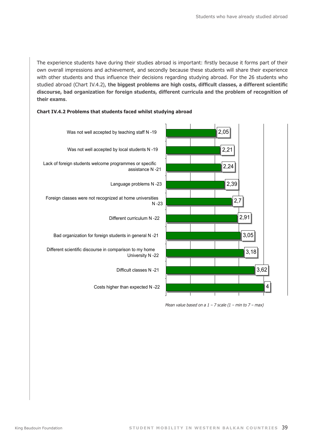The experience students have during their studies abroad is important: firstly because it forms part of their own overall impressions and achievement, and secondly because these students will share their experience with other students and thus influence their decisions regarding studying abroad. For the 26 students who studied abroad (Chart IV.4.2), **the biggest problems are high costs, difficult classes, a different scientific discourse, bad organization for foreign students, different curricula and the problem of recognition of their exams**.



#### **Chart IV.4.2 Problems that students faced whilst studying abroad**

*Mean value based on a 1 – 7 scale (1 – min to 7 – max)*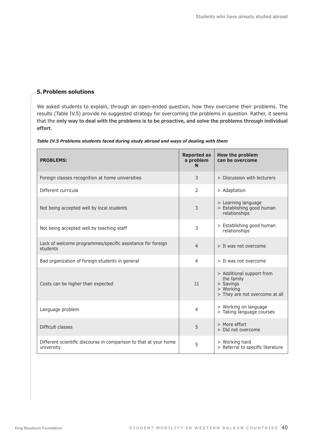#### **5.Problem solutions**

We asked students to explain, through an open-ended question, how they overcame their problems. The results (Table IV.5) provide no suggested strategy for overcoming the problems in question. Rather, it seems that the **only way to deal with the problems is to be proactive, and solve the problems through individual effort**.

| Table IV.5 Problems students faced during study abroad and ways of dealing with them |  |  |  |  |  |  |  |  |  |  |  |  |  |
|--------------------------------------------------------------------------------------|--|--|--|--|--|--|--|--|--|--|--|--|--|
|--------------------------------------------------------------------------------------|--|--|--|--|--|--|--|--|--|--|--|--|--|

| <b>PROBLEMS:</b>                                                                | <b>Reported as</b><br>a problem<br>N | How the problem<br>can be overcome                                                                  |
|---------------------------------------------------------------------------------|--------------------------------------|-----------------------------------------------------------------------------------------------------|
| Foreign classes recognition at home universities                                | 3                                    | > Discussion with lecturers                                                                         |
| Different curricula                                                             | $\mathcal{P}$                        | > Adaptation                                                                                        |
| Not being accepted well by local students                                       | 3                                    | > Learning language<br>> Establishing good human<br>relationships                                   |
| Not being accepted well by teaching staff                                       | 3                                    | > Establishing good human<br>relationships                                                          |
| Lack of welcome programmes/specific assistance for foreign<br>students          | $\overline{4}$                       | > It was not overcome                                                                               |
| Bad organization of foreign students in general                                 | $\overline{4}$                       | > It was not overcome                                                                               |
| Costs can be higher than expected                                               | 11                                   | > Additional support from<br>the family<br>> Savings<br>> Working<br>> They are not overcome at all |
| Language problem                                                                | 4                                    | > Working on language<br>> Taking language courses                                                  |
| Difficult classes                                                               | 5                                    | > More effort<br>> Did not overcome                                                                 |
| Different scientific discourse in comparison to that at your home<br>university | 5                                    | > Working hard<br>> Referral to specific literature                                                 |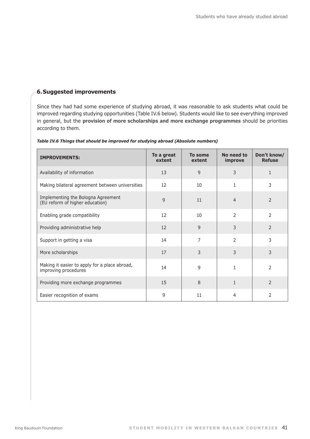#### **6.Suggested improvements**

Since they had had some experience of studying abroad, it was reasonable to ask students what could be improved regarding studying opportunities (Table IV.6 below). Students would like to see everything improved in general, but the **provision of more scholarships and more exchange programmes** should be priorities according to them.

| <b>IMPROVEMENTS:</b>                                                  | To a great<br>extent | To some<br>extent | No need to<br>improve | Don't know/<br><b>Refuse</b> |
|-----------------------------------------------------------------------|----------------------|-------------------|-----------------------|------------------------------|
| Availability of information                                           | 13                   | 9                 | 3                     | 1                            |
| Making bilateral agreement between universities                       | 12                   | 10                | $\mathbf{1}$          | $\mathfrak{Z}$               |
| Implementing the Bologna Agreement<br>(EU reform of higher education) | 9                    | 11                | $\overline{4}$        | 2                            |
| Enabling grade compatibility                                          | 12                   | 10                | $\overline{2}$        | $\overline{2}$               |
| Providing administrative help                                         | 12                   | 9                 | 3                     | $\overline{2}$               |
| Support in getting a visa                                             | 14                   | 7                 | $\overline{2}$        | 3                            |
| More scholarships                                                     | 17                   | 3                 | 3                     | 3                            |
| Making it easier to apply for a place abroad,<br>improving procedures | 14                   | 9                 | 1                     | $\overline{2}$               |
| Providing more exchange programmes                                    | 15                   | 8                 | $\mathbf{1}$          | $\mathcal{P}$                |
| Easier recognition of exams                                           | 9                    | 11                | 4                     | 2                            |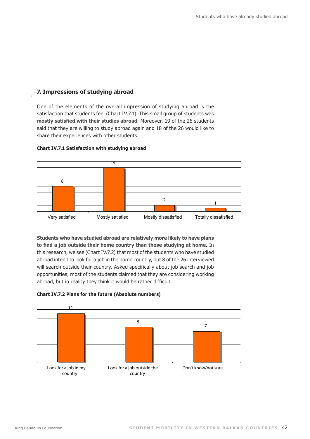#### **7. Impressions of studying abroad**

One of the elements of the overall impression of studying abroad is the satisfaction that students feel (Chart IV.7.1). This small group of students was **mostly satisfied with their studies abroad**. Moreover, 19 of the 26 students said that they are willing to study abroad again and 18 of the 26 would like to share their experiences with other students.



#### **Chart IV.7.1 Satisfaction with studying abroad** Chart IV.7.1 Satisfaction with studying abroad

**Students who have studied abroad are relatively more likely to have plans to find a job outside their home country than those studying at home**. In this research, we see (Chart IV.7.2) that most of the students who have studied abroad intend to look for a job in the home country, but 8 of the 26 interviewed will search outside their country. Asked specifically about job search and job opportunities, most of the students claimed that they are considering working abroad, but in reality they think it would be rather difficult.



#### **Chart <b>IV.7.2** Plans for the future (Absolute numbers)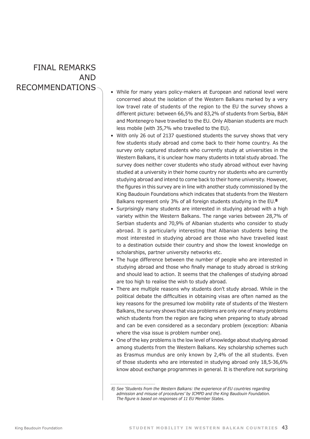# Final remarks **AND**

- RECOMMENDATIONS  $\bigwedge$   $\bullet$  While for many years policy-makers at European and national level were concerned about the isolation of the Western Balkans marked by a very low travel rate of students of the region to the EU the survey shows a different picture: between 66,5% and 83,2% of students from Serbia, B&H and Montenegro have travelled to the EU. Only Albanian students are much less mobile (with 35,7% who travelled to the EU).
	- With only 26 out of 2137 questioned students the survey shows that very few students study abroad and come back to their home country. As the survey only captured students who currently study at universities in the Western Balkans, it is unclear how many students in total study abroad. The survey does neither cover students who study abroad without ever having studied at a university in their home country nor students who are currently studying abroad and intend to come back to their home university. However, the figures in this survey are in line with another study commissioned by the King Baudouin Foundations which indicates that students from the Western Balkans represent only 3% of all foreign students studying in the EU.**<sup>8</sup>**
	- Surprisingly many students are interested in studying abroad with a high variety within the Western Balkans. The range varies between 28,7% of Serbian students and 70,9% of Albanian students who consider to study abroad. It is particularly interesting that Albanian students being the most interested in studying abroad are those who have travelled least to a destination outside their country and show the lowest knowledge on scholarships, partner university networks etc.
	- The huge difference between the number of people who are interested in studying abroad and those who finally manage to study abroad is striking and should lead to action. It seems that the challenges of studying abroad are too high to realise the wish to study abroad.
	- There are multiple reasons why students don't study abroad. While in the political debate the difficulties in obtaining visas are often named as the key reasons for the presumed low mobility rate of students of the Western Balkans, the survey shows that visa problems are only one of many problems which students from the region are facing when preparing to study abroad and can be even considered as a secondary problem (exception: Albania where the visa issue is problem number one).
	- One of the key problems is the low level of knowledge about studying abroad among students from the Western Balkans. Key scholarship schemes such as Erasmus mundus are only known by 2,4% of the all students. Even of those students who are interested in studying abroad only 18,5-36,6% know about exchange programmes in general. It is therefore not surprising

*<sup>8)</sup> See 'Students from the Western Balkans: the experience of EU countries regarding admission and misuse of procedures' by ICMPD and the King Baudouin Foundation. The figure is based on responses of 11 EU Member States.*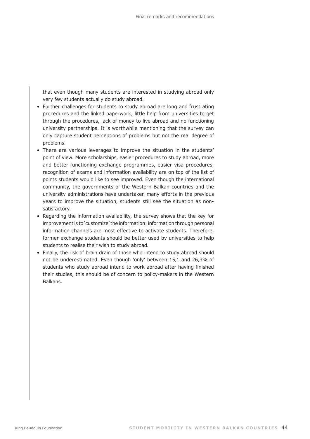that even though many students are interested in studying abroad only very few students actually do study abroad.

- Further challenges for students to study abroad are long and frustrating procedures and the linked paperwork, little help from universities to get through the procedures, lack of money to live abroad and no functioning university partnerships. It is worthwhile mentioning that the survey can only capture student perceptions of problems but not the real degree of problems.
- There are various leverages to improve the situation in the students' point of view. More scholarships, easier procedures to study abroad, more and better functioning exchange programmes, easier visa procedures, recognition of exams and information availability are on top of the list of points students would like to see improved. Even though the international community, the governments of the Western Balkan countries and the university administrations have undertaken many efforts in the previous years to improve the situation, students still see the situation as nonsatisfactory.
- Regarding the information availability, the survey shows that the key for improvement is to 'customize' the information: information through personal information channels are most effective to activate students. Therefore, former exchange students should be better used by universities to help students to realise their wish to study abroad.
- Finally, the risk of brain drain of those who intend to study abroad should not be underestimated. Even though 'only' between 15,1 and 26,3% of students who study abroad intend to work abroad after having finished their studies, this should be of concern to policy-makers in the Western Balkans.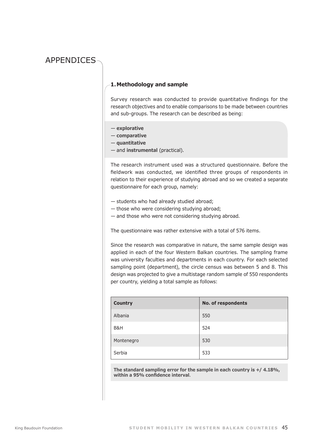## **APPENDICES**

#### **1. Methodology and sample**

Survey research was conducted to provide quantitative findings for the research objectives and to enable comparisons to be made between countries and sub-groups. The research can be described as being:

- **explorative**
- **comparative**
- **quantitative**
- and **instrumental** (practical).

The research instrument used was a structured questionnaire. Before the fieldwork was conducted, we identified three groups of respondents in relation to their experience of studying abroad and so we created a separate questionnaire for each group, namely:

- students who had already studied abroad;
- those who were considering studying abroad;
- and those who were not considering studying abroad.

The questionnaire was rather extensive with a total of 576 items.

Since the research was comparative in nature, the same sample design was applied in each of the four Western Balkan countries. The sampling frame was university faculties and departments in each country. For each selected sampling point (department), the circle census was between 5 and 8. This design was projected to give a multistage random sample of 550 respondents per country, yielding a total sample as follows:

| <b>Country</b> | <b>No. of respondents</b> |
|----------------|---------------------------|
| Albania        | 550                       |
| B&H            | 524                       |
| Montenegro     | 530                       |
| Serbia         | 533                       |

**The standard sampling error for the sample in each country is +/ 4.18%, within a 95% confidence interval**.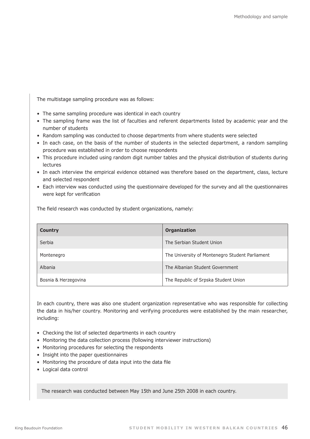The multistage sampling procedure was as follows:

- The same sampling procedure was identical in each country
- The sampling frame was the list of faculties and referent departments listed by academic year and the number of students
- Random sampling was conducted to choose departments from where students were selected
- In each case, on the basis of the number of students in the selected department, a random sampling procedure was established in order to choose respondents
- This procedure included using random digit number tables and the physical distribution of students during lectures
- In each interview the empirical evidence obtained was therefore based on the department, class, lecture and selected respondent
- Each interview was conducted using the questionnaire developed for the survey and all the questionnaires were kept for verification

The field research was conducted by student organizations, namely:

| <b>Country</b>       | Organization                                    |
|----------------------|-------------------------------------------------|
| Serbia               | The Serbian Student Union                       |
| Montenegro           | The University of Montenegro Student Parliament |
| Albania              | The Albanian Student Government                 |
| Bosnia & Herzegovina | The Republic of Srpska Student Union            |

In each country, there was also one student organization representative who was responsible for collecting the data in his/her country. Monitoring and verifying procedures were established by the main researcher, including:

- Checking the list of selected departments in each country
- Monitoring the data collection process (following interviewer instructions)
- Monitoring procedures for selecting the respondents
- Insight into the paper questionnaires
- Monitoring the procedure of data input into the data file
- Logical data control

The research was conducted between May 15th and June 25th 2008 in each country.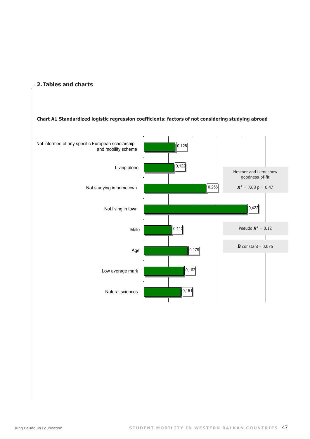

**2. Tables and charts**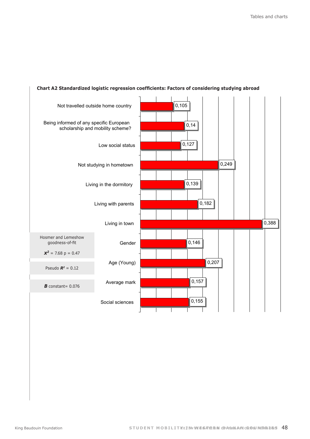

#### **Chart A2 Standardized logistic regression coefficients: Factors of considering studying abroad** considering studying abroad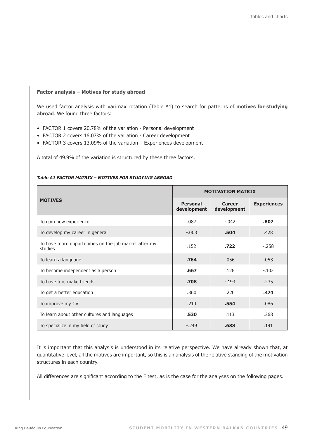#### **Factor analysis – Motives for study abroad**

We used factor analysis with varimax rotation (Table A1) to search for patterns of **motives for studying abroad**. We found three factors:

- FACTOR 1 covers 20.78% of the variation Personal development
- FACTOR 2 covers 16.07% of the variation Career development
- FACTOR 3 covers 13.09% of the variation Experiences development

A total of 49.9% of the variation is structured by these three factors.

|                                                                  | <b>MOTIVATION MATRIX</b>       |                       |                    |  |  |  |
|------------------------------------------------------------------|--------------------------------|-----------------------|--------------------|--|--|--|
| <b>MOTIVES</b>                                                   | <b>Personal</b><br>development | Career<br>development | <b>Experiences</b> |  |  |  |
| To gain new experience                                           | .087                           | $-.042$               | .807               |  |  |  |
| To develop my career in general                                  | $-.003$                        | .504                  | .428               |  |  |  |
| To have more opportunities on the job market after my<br>studies | .152                           | .722                  | $-258$             |  |  |  |
| To learn a language                                              | .764                           | .056                  | .053               |  |  |  |
| To become independent as a person                                | .667                           | .126                  | $-.102$            |  |  |  |
| To have fun, make friends                                        | .708                           | $-.193$               | .235               |  |  |  |
| To get a better education                                        | .360                           | .220                  | .474               |  |  |  |
| To improve my CV                                                 | .210                           | .554                  | .086               |  |  |  |
| To learn about other cultures and languages                      | .530                           | .113                  | .268               |  |  |  |
| To specialize in my field of study                               | $-.249$                        | .638                  | .191               |  |  |  |

#### *Table A1 FACTOR MATRIX – MOTIVES FOR STUDYING ABROAD*

It is important that this analysis is understood in its relative perspective. We have already shown that, at quantitative level, all the motives are important, so this is an analysis of the relative standing of the motivation structures in each country.

All differences are significant according to the F test, as is the case for the analyses on the following pages.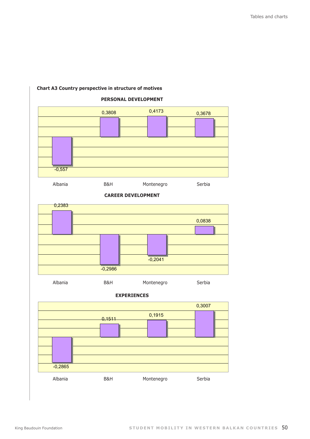

#### **Chart A3 Country perspective in structure of motives**



# **Experiences** EXPERIENCES

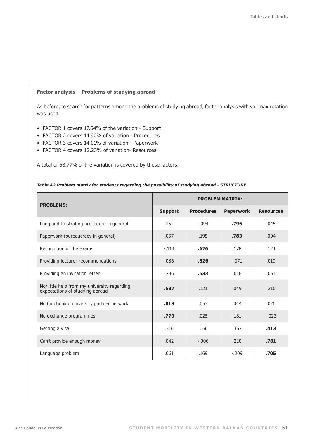#### **Factor analysis – Problems of studying abroad**

As before, to search for patterns among the problems of studying abroad, factor analysis with varimax rotation was used.

- FACTOR 1 covers 17.64% of the variation Support
- FACTOR 2 covers 14.90% of variation Procedures
- FACTOR 3 covers 14.01% of variation Paperwork
- FACTOR 4 covers 12.23% of variation- Resources

A total of 58.77% of the variation is covered by these factors.

| <b>PROBLEMS:</b>                                                               | <b>PROBLEM MATRIX:</b> |                   |                  |                  |  |  |
|--------------------------------------------------------------------------------|------------------------|-------------------|------------------|------------------|--|--|
|                                                                                | <b>Support</b>         | <b>Procedures</b> | <b>Paperwork</b> | <b>Resources</b> |  |  |
| Long and frustrating procedure in general                                      | .152                   | $-.094$           | .796             | .045             |  |  |
| Paperwork (bureaucracy in general)                                             | .057                   | .195              | .783             | .004             |  |  |
| Recognition of the exams                                                       | $-.114$                | .676              | .178             | .124             |  |  |
| Providing lecturer recommendations                                             | .086                   | .826              | $-.071$          | .010             |  |  |
| Providing an invitation letter                                                 | .236                   | .633              | .016             | .061             |  |  |
| No/little help from my university regarding<br>expectations of studying abroad | .687                   | .121              | .049             | .216             |  |  |
| No functioning university partner network                                      | .818                   | .053              | .044             | .026             |  |  |
| No exchange programmes                                                         | .770                   | .025              | .181             | $-.023$          |  |  |
| Getting a visa                                                                 | .316                   | .066              | .362             | .413             |  |  |
| Can't provide enough money                                                     | .042                   | $-.006$           | .210             | .781             |  |  |
| Language problem                                                               | .061                   | .169              | $-.209$          | .705             |  |  |

#### *Table A2 Problem matrix for students regarding the possibility of studying abroad - STRUCTURE*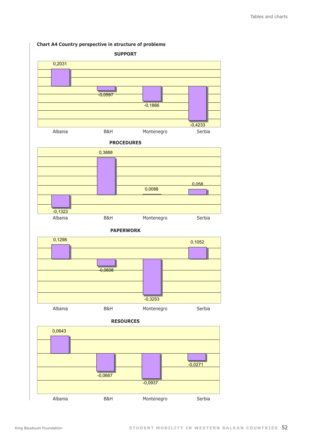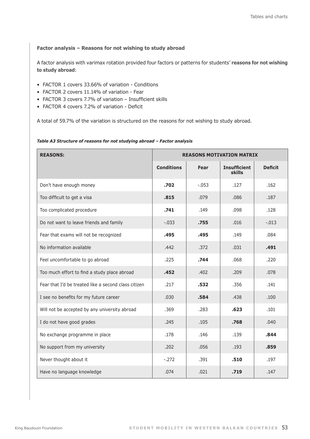**Factor analysis – Reasons for not wishing to study abroad**

A factor analysis with varimax rotation provided four factors or patterns for students' **reasons for not wishing to study abroad**:

- FACTOR 1 covers 33.66% of variation Conditions
- FACTOR 2 covers 11.14% of variation Fear
- FACTOR 3 covers 7.7% of variation Insufficient skills
- FACTOR 4 covers 7.2% of variation Deficit

A total of 59.7% of the variation is structured on the reasons for not wishing to study abroad.

#### *Table A3 Structure of reasons for not studying abroad – Factor analysis*

| <b>REASONS:</b>                                      | <b>REASONS MOTIVATION MATRIX</b> |          |                                      |                |  |  |
|------------------------------------------------------|----------------------------------|----------|--------------------------------------|----------------|--|--|
|                                                      | <b>Conditions</b>                | Fear     | <b>Insufficient</b><br><b>skills</b> | <b>Deficit</b> |  |  |
| Don't have enough money                              | .702                             | $-0.053$ | .127                                 | .162           |  |  |
| Too difficult to get a visa                          | .815                             | .079     | .086                                 | .187           |  |  |
| Too complicated procedure                            | .741                             | .149     | .098                                 | .128           |  |  |
| Do not want to leave friends and family              | $-.033$                          | .755     | .016                                 | $-.013$        |  |  |
| Fear that exams will not be recognized               | .495                             | .495     | .149                                 | .084           |  |  |
| No information available                             | .442                             | .372     | .031                                 | .491           |  |  |
| Feel uncomfortable to go abroad                      | .225                             | .744     | .068                                 | .220           |  |  |
| Too much effort to find a study place abroad         | .452                             | .402     | .209                                 | .078           |  |  |
| Fear that I'd be treated like a second class citizen | .217                             | .532     | .356                                 | .141           |  |  |
| I see no benefits for my future career               | .030                             | .584     | .438                                 | .100           |  |  |
| Will not be accepted by any university abroad        | .369                             | .283     | .623                                 | .101           |  |  |
| I do not have good grades                            | .245                             | .105     | .768                                 | .040           |  |  |
| No exchange programme in place                       | .178                             | .146     | .139                                 | .844           |  |  |
| No support from my university                        | .202                             | .056     | .193                                 | .859           |  |  |
| Never thought about it                               | $-.272$                          | .391     | .510                                 | .197           |  |  |
| Have no language knowledge                           | .074                             | .021     | .719                                 | .147           |  |  |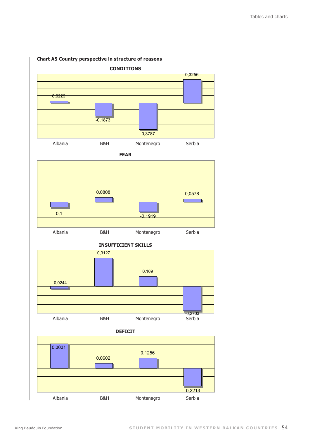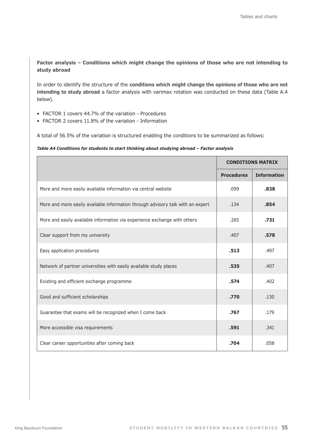#### **Factor analysis – Conditions which might change the opinions of those who are not intending to study abroad**

In order to identify the structure of the **conditions which might change the opinions of those who are not intending to study abroad** a factor analysis with varimax rotation was conducted on these data (Table A.4 below).

- FACTOR 1 covers 44.7% of the variation Procedures
- FACTOR 2 covers 11.8% of the variation Information

A total of 56.5% of the variation is structured enabling the conditions to be summarized as follows:

#### *Table A4 Conditions for students to start thinking about studying abroad – Factor analysis*

|                                                                                 | <b>CONDITIONS MATRIX</b> |                    |
|---------------------------------------------------------------------------------|--------------------------|--------------------|
|                                                                                 | <b>Procedures</b>        | <b>Information</b> |
| More and more easily available information via central website                  | .099                     | .838               |
| More and more easily available information through advisory talk with an expert | .134                     | .854               |
| More and easily available information via experience exchange with others       | .265                     | .731               |
| Clear support from my university                                                | .407                     | .578               |
| Easy application procedures                                                     | .513                     | .497               |
| Network of partner universities with easily available study places              | .535                     | .407               |
| Existing and efficient exchange programme                                       | .574                     | .402               |
| Good and sufficient scholarships                                                | .770                     | .130               |
| Guarantee that exams will be recognized when I come back                        | .767                     | .179               |
| More accessible visa requirements                                               | .591                     | .341               |
| Clear career opportunities after coming back                                    | .704                     | .058               |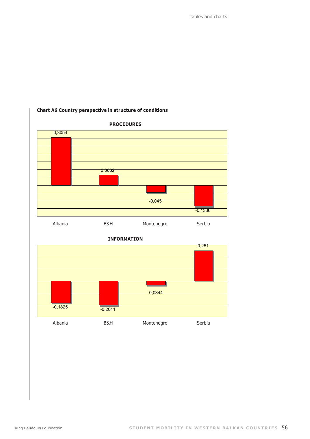Tables and charts



#### **Chart A6 Country perspective in structure of conditions**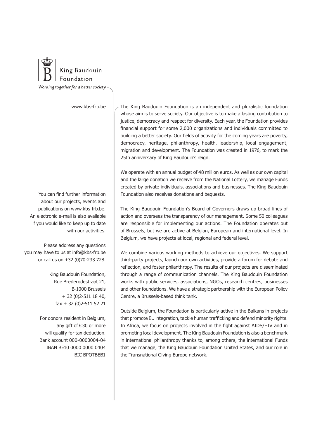

www.kbs-frb.be

You can find further information about our projects, events and publications on www.kbs-frb.be. An electronic e-mail is also available if you would like to keep up to date with our activities.

Please address any questions you may have to us at info@kbs-frb.be or call us on +32 (0)70-233 728.

> King Baudouin Foundation, Rue Brederodestraat 21, B-1000 Brussels + 32 (0)2-511 18 40, fax + 32 (0)2-511 52 21

For donors resident in Belgium, any gift of €30 or more will qualify for tax deduction. Bank account 000-0000004-04 IBAN BE10 0000 0000 0404 BIC BPOTBEB1 The King Baudouin Foundation is an independent and pluralistic foundation whose aim is to serve society. Our objective is to make a lasting contribution to justice, democracy and respect for diversity. Each year, the Foundation provides financial support for some 2,000 organizations and individuals committed to building a better society. Our fields of activity for the coming years are poverty, democracy, heritage, philanthropy, health, leadership, local engagement, migration and development. The Foundation was created in 1976, to mark the 25th anniversary of King Baudouin's reign.

We operate with an annual budget of 48 million euros. As well as our own capital and the large donation we receive from the National Lottery, we manage Funds created by private individuals, associations and businesses. The King Baudouin Foundation also receives donations and bequests.

The King Baudouin Foundation's Board of Governors draws up broad lines of action and oversees the transparency of our management. Some 50 colleagues are responsible for implementing our actions. The Foundation operates out of Brussels, but we are active at Belgian, European and international level. In Belgium, we have projects at local, regional and federal level.

We combine various working methods to achieve our objectives. We support third-party projects, launch our own activities, provide a forum for debate and reflection, and foster philanthropy. The results of our projects are disseminated through a range of communication channels. The King Baudouin Foundation works with public services, associations, NGOs, research centres, businesses and other foundations. We have a strategic partnership with the European Policy Centre, a Brussels-based think tank.

Outside Belgium, the Foundation is particularly active in the Balkans in projects that promote EU integration, tackle human trafficking and defend minority rights. In Africa, we focus on projects involved in the fight against AIDS/HIV and in promoting local development. The King Baudouin Foundation is also a benchmark in international philanthropy thanks to, among others, the international Funds that we manage, the King Baudouin Foundation United States, and our role in the Transnational Giving Europe network.